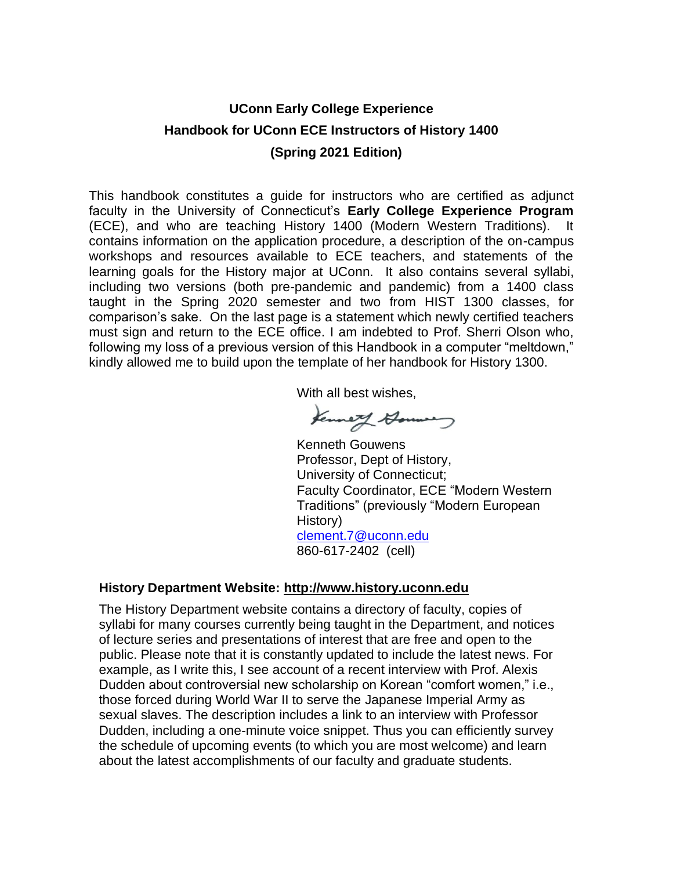# **UConn Early College Experience Handbook for UConn ECE Instructors of History 1400 (Spring 2021 Edition)**

This handbook constitutes a guide for instructors who are certified as adjunct faculty in the University of Connecticut's **Early College Experience Program** (ECE), and who are teaching History 1400 (Modern Western Traditions). It contains information on the application procedure, a description of the on-campus workshops and resources available to ECE teachers, and statements of the learning goals for the History major at UConn. It also contains several syllabi, including two versions (both pre-pandemic and pandemic) from a 1400 class taught in the Spring 2020 semester and two from HIST 1300 classes, for comparison's sake. On the last page is a statement which newly certified teachers must sign and return to the ECE office. I am indebted to Prof. Sherri Olson who, following my loss of a previous version of this Handbook in a computer "meltdown," kindly allowed me to build upon the template of her handbook for History 1300.

With all best wishes,

Kenneth Hommes

Kenneth Gouwens Professor, Dept of History, University of Connecticut; Faculty Coordinator, ECE "Modern Western Traditions" (previously "Modern European History) [clement.7@uconn.edu](mailto:clement.7@uconn.edu) 860-617-2402 (cell)

## **History Department Website: [http://www.history.uconn.edu](http://www.history.uconn.edu/)**

The History Department website contains a directory of faculty, copies of syllabi for many courses currently being taught in the Department, and notices of lecture series and presentations of interest that are free and open to the public. Please note that it is constantly updated to include the latest news. For example, as I write this, I see account of a recent interview with Prof. Alexis Dudden about controversial new scholarship on Korean "comfort women," i.e., those forced during World War II to serve the Japanese Imperial Army as sexual slaves. The description includes a link to an interview with Professor Dudden, including a one-minute voice snippet. Thus you can efficiently survey the schedule of upcoming events (to which you are most welcome) and learn about the latest accomplishments of our faculty and graduate students.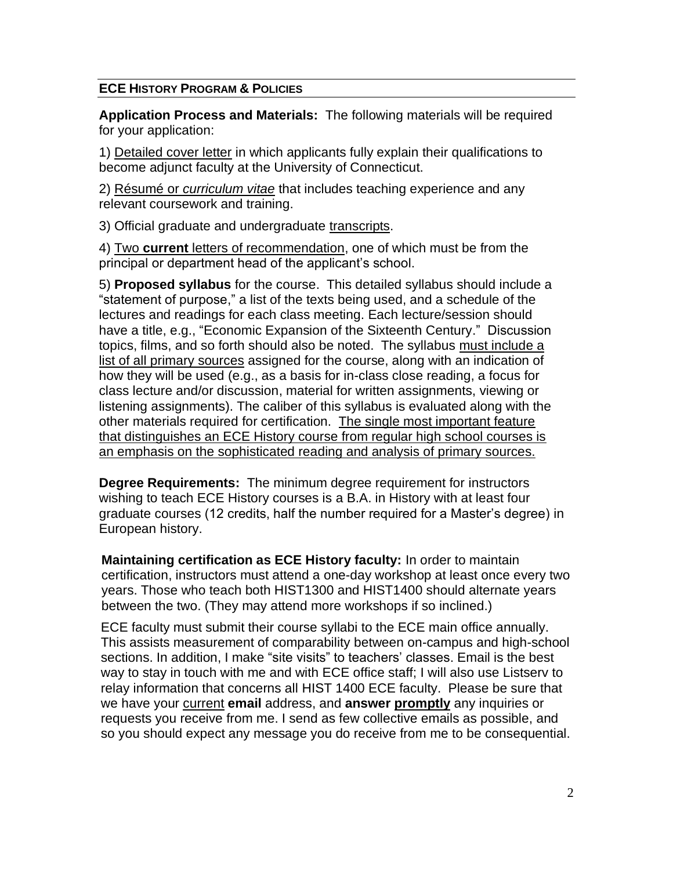## **ECE HISTORY PROGRAM & POLICIES**

**Application Process and Materials:** The following materials will be required for your application:

1) Detailed cover letter in which applicants fully explain their qualifications to become adjunct faculty at the University of Connecticut.

2) Résumé or *curriculum vitae* that includes teaching experience and any relevant coursework and training.

3) Official graduate and undergraduate transcripts.

4) Two **current** letters of recommendation, one of which must be from the principal or department head of the applicant's school.

5) **Proposed syllabus** for the course. This detailed syllabus should include a "statement of purpose," a list of the texts being used, and a schedule of the lectures and readings for each class meeting. Each lecture/session should have a title, e.g., "Economic Expansion of the Sixteenth Century." Discussion topics, films, and so forth should also be noted. The syllabus must include a list of all primary sources assigned for the course, along with an indication of how they will be used (e.g., as a basis for in-class close reading, a focus for class lecture and/or discussion, material for written assignments, viewing or listening assignments). The caliber of this syllabus is evaluated along with the other materials required for certification. The single most important feature that distinguishes an ECE History course from regular high school courses is an emphasis on the sophisticated reading and analysis of primary sources.

**Degree Requirements:** The minimum degree requirement for instructors wishing to teach ECE History courses is a B.A. in History with at least four graduate courses (12 credits, half the number required for a Master's degree) in European history.

**Maintaining certification as ECE History faculty:** In order to maintain certification, instructors must attend a one-day workshop at least once every two years. Those who teach both HIST1300 and HIST1400 should alternate years between the two. (They may attend more workshops if so inclined.)

ECE faculty must submit their course syllabi to the ECE main office annually. This assists measurement of comparability between on-campus and high-school sections. In addition, I make "site visits" to teachers' classes. Email is the best way to stay in touch with me and with ECE office staff; I will also use Listserv to relay information that concerns all HIST 1400 ECE faculty. Please be sure that we have your current **email** address, and **answer promptly** any inquiries or requests you receive from me. I send as few collective emails as possible, and so you should expect any message you do receive from me to be consequential.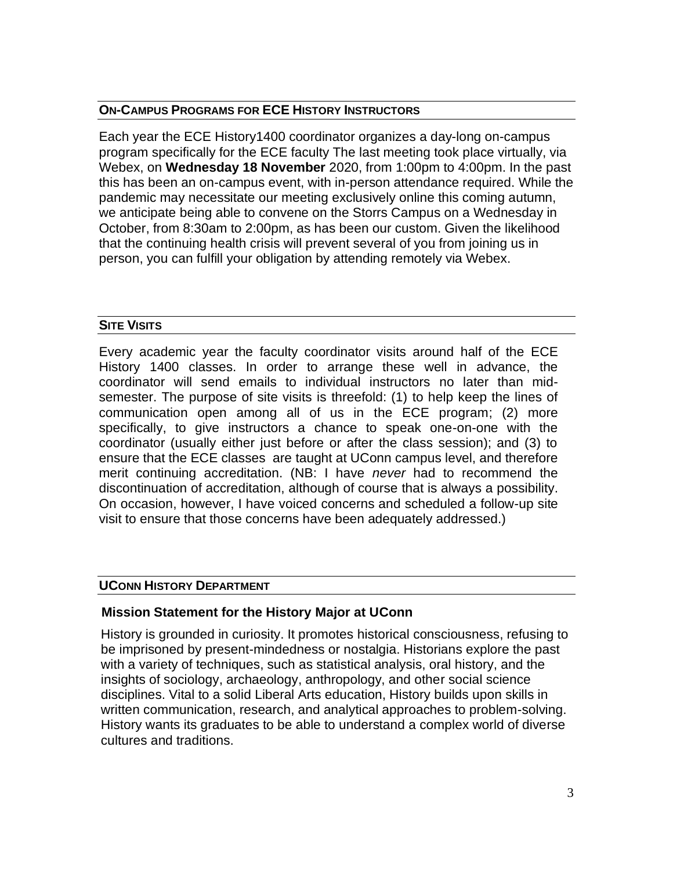### **ON-CAMPUS PROGRAMS FOR ECE HISTORY INSTRUCTORS**

Each year the ECE History1400 coordinator organizes a day-long on-campus program specifically for the ECE faculty The last meeting took place virtually, via Webex, on **Wednesday 18 November** 2020, from 1:00pm to 4:00pm. In the past this has been an on-campus event, with in-person attendance required. While the pandemic may necessitate our meeting exclusively online this coming autumn, we anticipate being able to convene on the Storrs Campus on a Wednesday in October, from 8:30am to 2:00pm, as has been our custom. Given the likelihood that the continuing health crisis will prevent several of you from joining us in person, you can fulfill your obligation by attending remotely via Webex.

## **SITE VISITS**

Every academic year the faculty coordinator visits around half of the ECE History 1400 classes. In order to arrange these well in advance, the coordinator will send emails to individual instructors no later than midsemester. The purpose of site visits is threefold: (1) to help keep the lines of communication open among all of us in the ECE program; (2) more specifically, to give instructors a chance to speak one-on-one with the coordinator (usually either just before or after the class session); and (3) to ensure that the ECE classes are taught at UConn campus level, and therefore merit continuing accreditation. (NB: I have *never* had to recommend the discontinuation of accreditation, although of course that is always a possibility. On occasion, however, I have voiced concerns and scheduled a follow-up site visit to ensure that those concerns have been adequately addressed.)

### **UCONN HISTORY DEPARTMENT**

## **Mission Statement for the History Major at UConn**

History is grounded in curiosity. It promotes historical consciousness, refusing to be imprisoned by present-mindedness or nostalgia. Historians explore the past with a variety of techniques, such as statistical analysis, oral history, and the insights of sociology, archaeology, anthropology, and other social science disciplines. Vital to a solid Liberal Arts education, History builds upon skills in written communication, research, and analytical approaches to problem-solving. History wants its graduates to be able to understand a complex world of diverse cultures and traditions.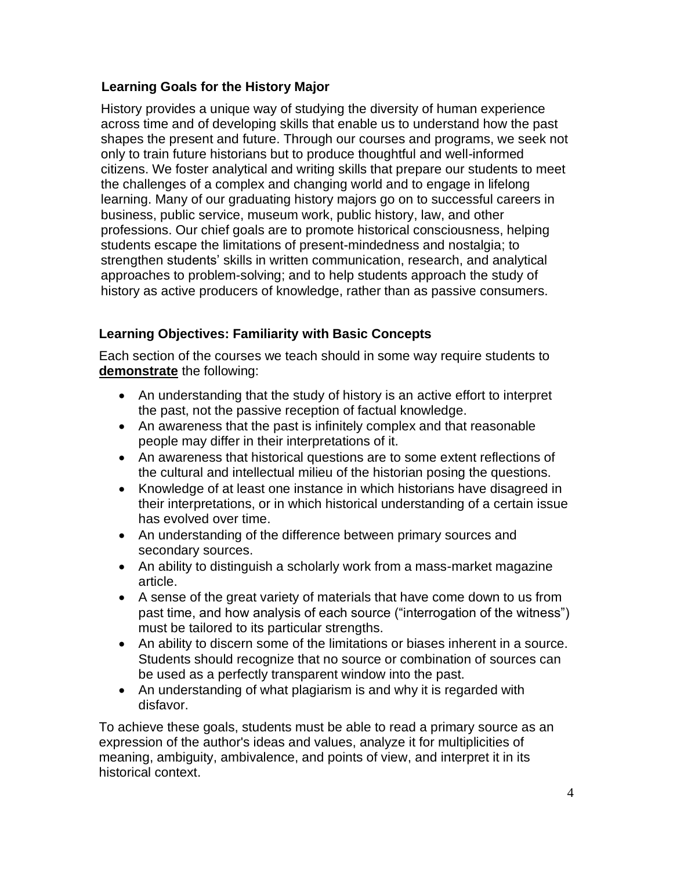## **Learning Goals for the History Major**

History provides a unique way of studying the diversity of human experience across time and of developing skills that enable us to understand how the past shapes the present and future. Through our courses and programs, we seek not only to train future historians but to produce thoughtful and well-informed citizens. We foster analytical and writing skills that prepare our students to meet the challenges of a complex and changing world and to engage in lifelong learning. Many of our graduating history majors go on to successful careers in business, public service, museum work, public history, law, and other professions. Our chief goals are to promote historical consciousness, helping students escape the limitations of present-mindedness and nostalgia; to strengthen students' skills in written communication, research, and analytical approaches to problem-solving; and to help students approach the study of history as active producers of knowledge, rather than as passive consumers.

# **Learning Objectives: Familiarity with Basic Concepts**

Each section of the courses we teach should in some way require students to **demonstrate** the following:

- An understanding that the study of history is an active effort to interpret the past, not the passive reception of factual knowledge.
- An awareness that the past is infinitely complex and that reasonable people may differ in their interpretations of it.
- An awareness that historical questions are to some extent reflections of the cultural and intellectual milieu of the historian posing the questions.
- Knowledge of at least one instance in which historians have disagreed in their interpretations, or in which historical understanding of a certain issue has evolved over time.
- An understanding of the difference between primary sources and secondary sources.
- An ability to distinguish a scholarly work from a mass-market magazine article.
- A sense of the great variety of materials that have come down to us from past time, and how analysis of each source ("interrogation of the witness") must be tailored to its particular strengths.
- An ability to discern some of the limitations or biases inherent in a source. Students should recognize that no source or combination of sources can be used as a perfectly transparent window into the past.
- An understanding of what plagiarism is and why it is regarded with disfavor.

To achieve these goals, students must be able to read a primary source as an expression of the author's ideas and values, analyze it for multiplicities of meaning, ambiguity, ambivalence, and points of view, and interpret it in its historical context.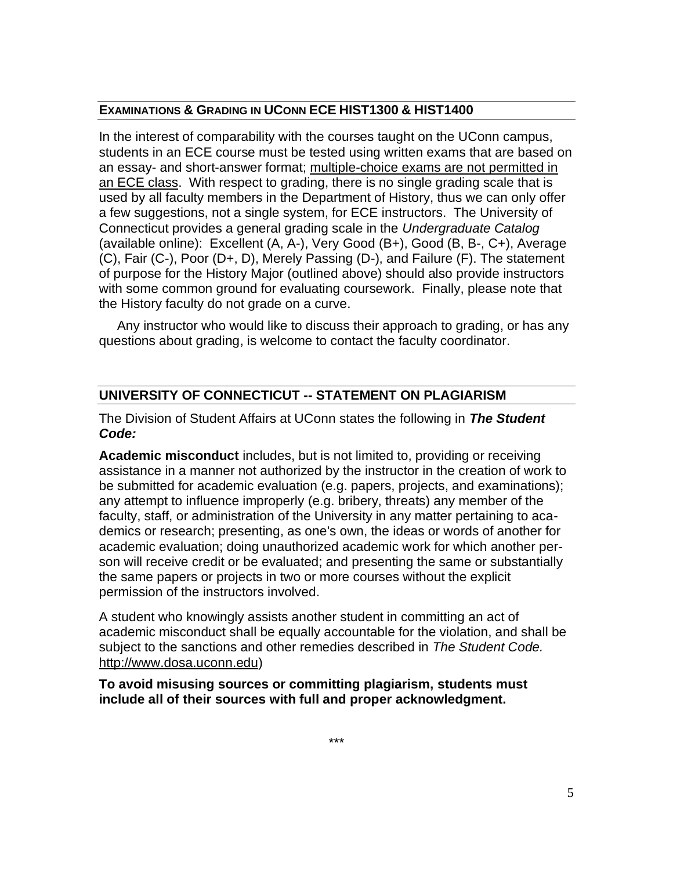### **EXAMINATIONS & GRADING IN UCONN ECE HIST1300 & HIST1400**

In the interest of comparability with the courses taught on the UConn campus, students in an ECE course must be tested using written exams that are based on an essay- and short-answer format; multiple-choice exams are not permitted in an ECE class. With respect to grading, there is no single grading scale that is used by all faculty members in the Department of History, thus we can only offer a few suggestions, not a single system, for ECE instructors. The University of Connecticut provides a general grading scale in the *Undergraduate Catalog* (available online): Excellent (A, A-), Very Good (B+), Good (B, B-, C+), Average (C), Fair (C-), Poor (D+, D), Merely Passing (D-), and Failure (F). The statement of purpose for the History Major (outlined above) should also provide instructors with some common ground for evaluating coursework. Finally, please note that the History faculty do not grade on a curve.

 Any instructor who would like to discuss their approach to grading, or has any questions about grading, is welcome to contact the faculty coordinator.

## **UNIVERSITY OF CONNECTICUT -- STATEMENT ON PLAGIARISM**

The Division of Student Affairs at UConn states the following in *The Student Code:*

**Academic misconduct** includes, but is not limited to, providing or receiving assistance in a manner not authorized by the instructor in the creation of work to be submitted for academic evaluation (e.g. papers, projects, and examinations); any attempt to influence improperly (e.g. bribery, threats) any member of the faculty, staff, or administration of the University in any matter pertaining to academics or research; presenting, as one's own, the ideas or words of another for academic evaluation; doing unauthorized academic work for which another person will receive credit or be evaluated; and presenting the same or substantially the same papers or projects in two or more courses without the explicit permission of the instructors involved.

A student who knowingly assists another student in committing an act of academic misconduct shall be equally accountable for the violation, and shall be subject to the sanctions and other remedies described in *The Student Code.* [http://www.dosa.uconn.edu\)](http://www.dosa.uconn.edu/)

**To avoid misusing sources or committing plagiarism, students must include all of their sources with full and proper acknowledgment.**

\*\*\*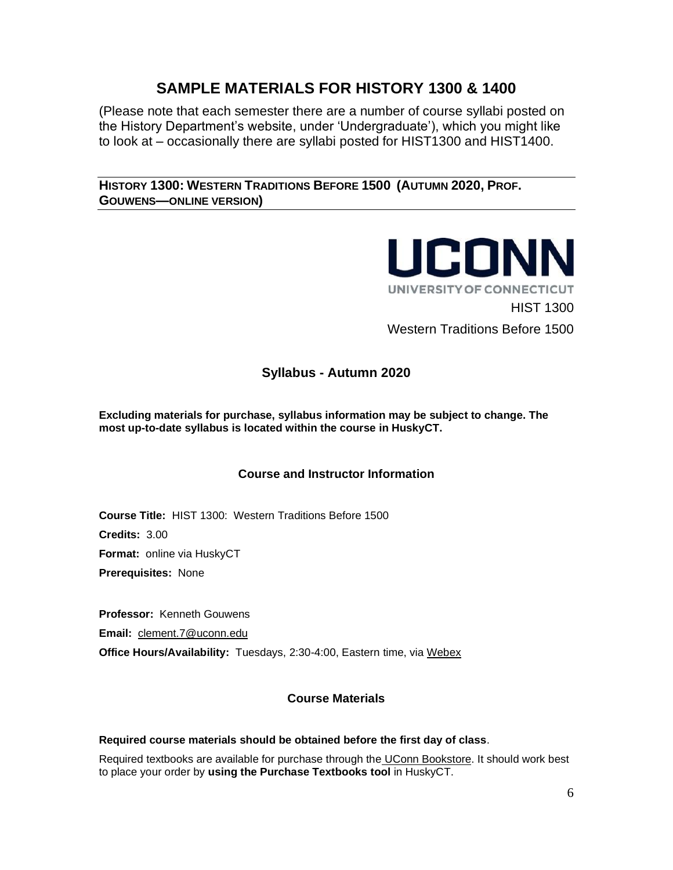# **SAMPLE MATERIALS FOR HISTORY 1300 & 1400**

(Please note that each semester there are a number of course syllabi posted on the History Department's website, under 'Undergraduate'), which you might like to look at – occasionally there are syllabi posted for HIST1300 and HIST1400.

**HISTORY 1300: WESTERN TRADITIONS BEFORE 1500 (AUTUMN 2020, PROF. GOUWENS—ONLINE VERSION)**



## **Syllabus - Autumn 2020**

**Excluding materials for purchase, syllabus information may be subject to change. The most up-to-date syllabus is located within the course in HuskyCT.**

## **Course and Instructor Information**

**Course Title:** HIST 1300: Western Traditions Before 1500 **Credits:** 3.00 **Format:** online via HuskyCT **Prerequisites:** None

**Professor:** Kenneth Gouwens **Email:** [clement.7@uconn.edu](mailto:clement.7@uconn.edu) **Office Hours/Availability:** Tuesdays, 2:30-4:00, Eastern time, via [Webex](https://uconn-cmr.webex.com/meet/kvg02001)

## **Course Materials**

### **Required course materials should be obtained before the first day of class**.

Required textbooks are available for purchase through the [UConn Bookstore.](http://uconn.bncollege.com/webapp/wcs/stores/servlet/TBWizardView?catalogId=10001&langId=-1&storeId=88191) It should work best to place your order by **using the Purchase Textbooks tool** in HuskyCT.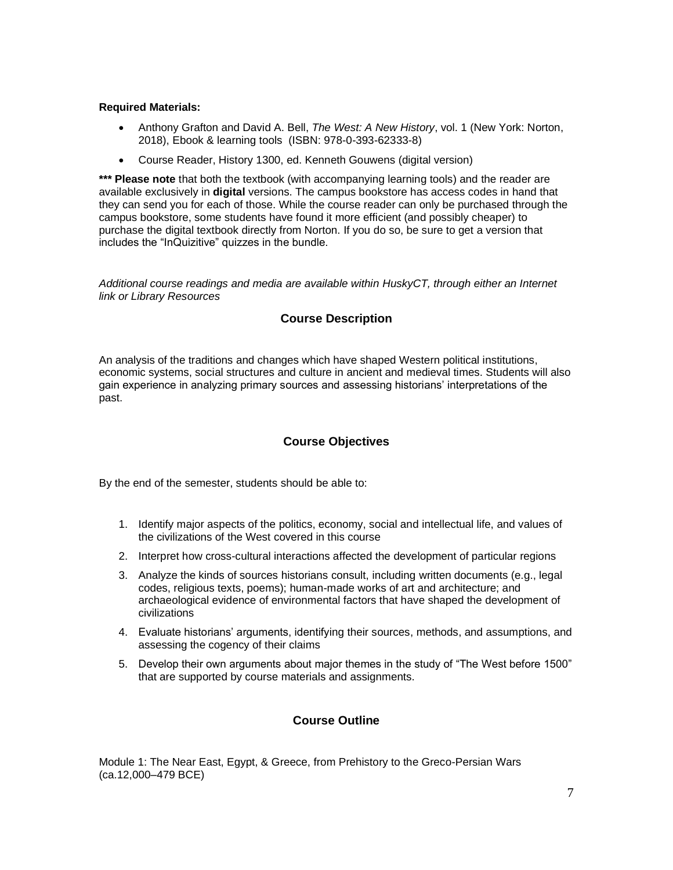#### **Required Materials:**

- Anthony Grafton and David A. Bell, *The West: A New History*, vol. 1 (New York: Norton, 2018), Ebook & learning tools (ISBN: 978-0-393-62333-8)
- Course Reader, History 1300, ed. Kenneth Gouwens (digital version)

\*\*\* Please note that both the textbook (with accompanying learning tools) and the reader are available exclusively in **digital** versions. The campus bookstore has access codes in hand that they can send you for each of those. While the course reader can only be purchased through the campus bookstore, some students have found it more efficient (and possibly cheaper) to purchase the digital textbook directly from Norton. If you do so, be sure to get a version that includes the "InQuizitive" quizzes in the bundle.

*Additional course readings and media are available within HuskyCT, through either an Internet link or Library Resources*

#### **Course Description**

An analysis of the traditions and changes which have shaped Western political institutions, economic systems, social structures and culture in ancient and medieval times. Students will also gain experience in analyzing primary sources and assessing historians' interpretations of the past.

#### **Course Objectives**

By the end of the semester, students should be able to:

- 1. Identify major aspects of the politics, economy, social and intellectual life, and values of the civilizations of the West covered in this course
- 2. Interpret how cross-cultural interactions affected the development of particular regions
- 3. Analyze the kinds of sources historians consult, including written documents (e.g., legal codes, religious texts, poems); human-made works of art and architecture; and archaeological evidence of environmental factors that have shaped the development of civilizations
- 4. Evaluate historians' arguments, identifying their sources, methods, and assumptions, and assessing the cogency of their claims
- 5. Develop their own arguments about major themes in the study of "The West before 1500" that are supported by course materials and assignments.

#### **Course Outline**

Module 1: The Near East, Egypt, & Greece, from Prehistory to the Greco-Persian Wars (ca.12,000–479 BCE)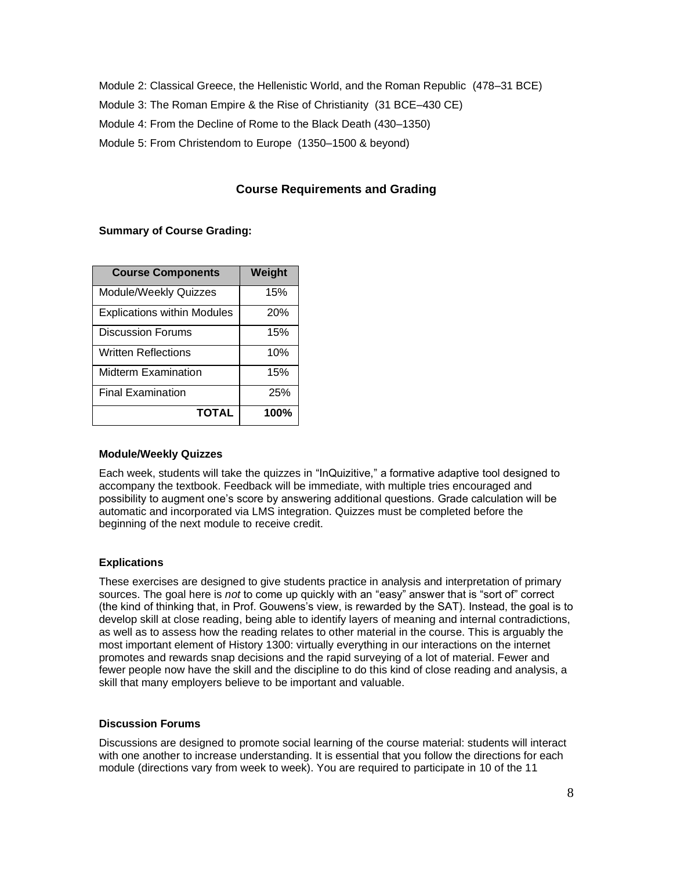Module 2: Classical Greece, the Hellenistic World, and the Roman Republic (478–31 BCE) Module 3: The Roman Empire & the Rise of Christianity (31 BCE–430 CE) Module 4: From the Decline of Rome to the Black Death (430–1350) Module 5: From Christendom to Europe (1350–1500 & beyond)

### **Course Requirements and Grading**

#### **Summary of Course Grading:**

| <b>Course Components</b>           | Weight |
|------------------------------------|--------|
| Module/Weekly Quizzes              | 15%    |
| <b>Explications within Modules</b> | 20%    |
| <b>Discussion Forums</b>           | 15%    |
| <b>Written Reflections</b>         | 10%    |
| <b>Midterm Examination</b>         | 15%    |
| <b>Final Examination</b>           | 25%    |
| <b>TOTAL</b>                       | 100%   |

#### **Module/Weekly Quizzes**

Each week, students will take the quizzes in "InQuizitive," a formative adaptive tool designed to accompany the textbook. Feedback will be immediate, with multiple tries encouraged and possibility to augment one's score by answering additional questions. Grade calculation will be automatic and incorporated via LMS integration. Quizzes must be completed before the beginning of the next module to receive credit.

#### **Explications**

These exercises are designed to give students practice in analysis and interpretation of primary sources. The goal here is *not* to come up quickly with an "easy" answer that is "sort of" correct (the kind of thinking that, in Prof. Gouwens's view, is rewarded by the SAT). Instead, the goal is to develop skill at close reading, being able to identify layers of meaning and internal contradictions, as well as to assess how the reading relates to other material in the course. This is arguably the most important element of History 1300: virtually everything in our interactions on the internet promotes and rewards snap decisions and the rapid surveying of a lot of material. Fewer and fewer people now have the skill and the discipline to do this kind of close reading and analysis, a skill that many employers believe to be important and valuable.

#### **Discussion Forums**

Discussions are designed to promote social learning of the course material: students will interact with one another to increase understanding. It is essential that you follow the directions for each module (directions vary from week to week). You are required to participate in 10 of the 11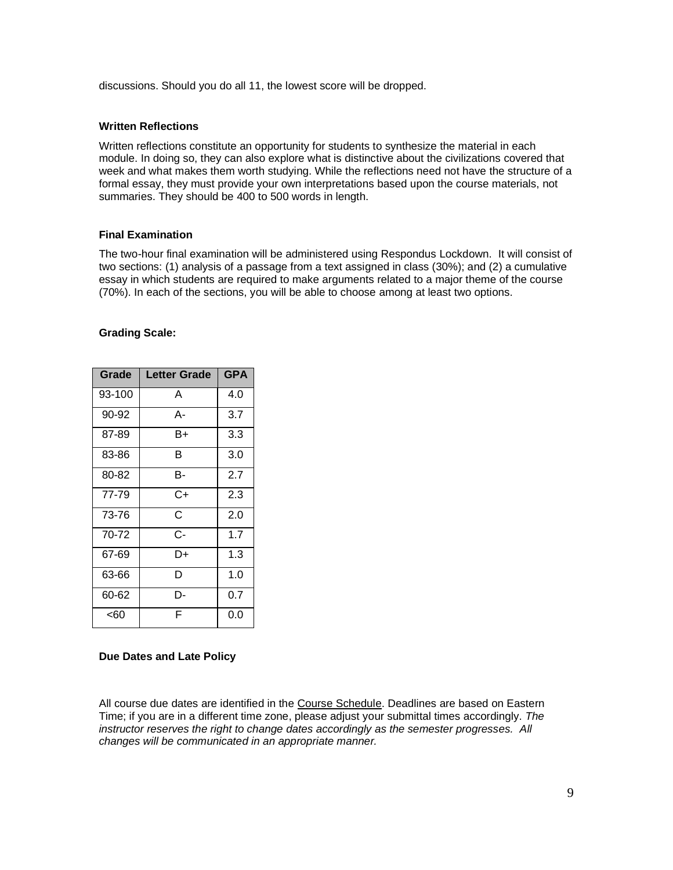discussions. Should you do all 11, the lowest score will be dropped.

#### **Written Reflections**

Written reflections constitute an opportunity for students to synthesize the material in each module. In doing so, they can also explore what is distinctive about the civilizations covered that week and what makes them worth studying. While the reflections need not have the structure of a formal essay, they must provide your own interpretations based upon the course materials, not summaries. They should be 400 to 500 words in length.

#### **Final Examination**

The two-hour final examination will be administered using Respondus Lockdown. It will consist of two sections: (1) analysis of a passage from a text assigned in class (30%); and (2) a cumulative essay in which students are required to make arguments related to a major theme of the course (70%). In each of the sections, you will be able to choose among at least two options.

#### **Grading Scale:**

| Grade  | Letter Grade | <b>GPA</b> |
|--------|--------------|------------|
| 93-100 | A            | 4.0        |
| 90-92  | А-           | 3.7        |
| 87-89  | B+           | 3.3        |
| 83-86  | в            | 3.0        |
| 80-82  | в-           | 2.7        |
| 77-79  | C+           | 2.3        |
| 73-76  | Ć            | 2.0        |
| 70-72  | C-           | 1.7        |
| 67-69  | D+           | 1.3        |
| 63-66  | D            | 1.0        |
| 60-62  | D-           | 0.7        |
| <60    | F            | 0.0        |

#### **Due Dates and Late Policy**

All course due dates are identified in the [Course Schedule.](https://docs.google.com/document/d/17K_aEBWdP54LbSVUREw5SSnJCuHEseyHBzgkXMariaw/edit?usp=sharing) Deadlines are based on Eastern Time; if you are in a different time zone, please adjust your submittal times accordingly. *The instructor reserves the right to change dates accordingly as the semester progresses. All changes will be communicated in an appropriate manner.*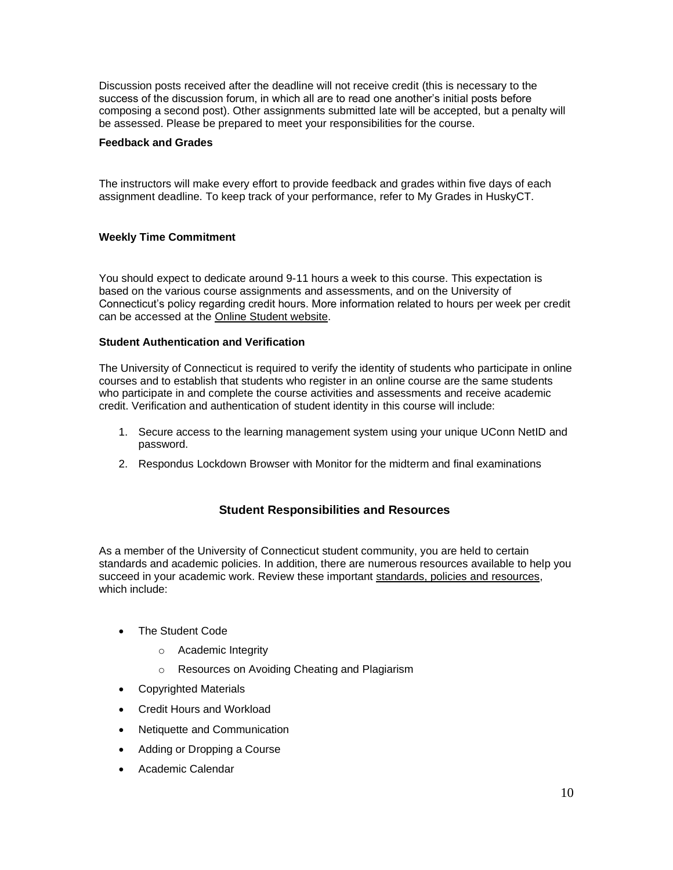Discussion posts received after the deadline will not receive credit (this is necessary to the success of the discussion forum, in which all are to read one another's initial posts before composing a second post). Other assignments submitted late will be accepted, but a penalty will be assessed. Please be prepared to meet your responsibilities for the course.

#### **Feedback and Grades**

The instructors will make every effort to provide feedback and grades within five days of each assignment deadline. To keep track of your performance, refer to My Grades in HuskyCT.

#### **Weekly Time Commitment**

You should expect to dedicate around 9-11 hours a week to this course. This expectation is based on the various course assignments and assessments, and on the University of Connecticut's policy regarding credit hours. More information related to hours per week per credit can be accessed at the [Online Student website.](https://onlinestudent.uconn.edu/learn-more/#collapsepanel-269-1-0-07)

#### **Student Authentication and Verification**

The University of Connecticut is required to verify the identity of students who participate in online courses and to establish that students who register in an online course are the same students who participate in and complete the course activities and assessments and receive academic credit. Verification and authentication of student identity in this course will include:

- 1. Secure access to the learning management system using your unique UConn NetID and password.
- 2. Respondus Lockdown Browser with Monitor for the midterm and final examinations

#### **Student Responsibilities and Resources**

As a member of the University of Connecticut student community, you are held to certain standards and academic policies. In addition, there are numerous resources available to help you succeed in your academic work. Review these important [standards, policies and resources,](https://onlinestudent.uconn.edu/learn--more/#POL)  which include:

- The Student Code
	- o Academic Integrity
	- o Resources on Avoiding Cheating and Plagiarism
- Copyrighted Materials
- Credit Hours and Workload
- Netiquette and Communication
- Adding or Dropping a Course
- Academic Calendar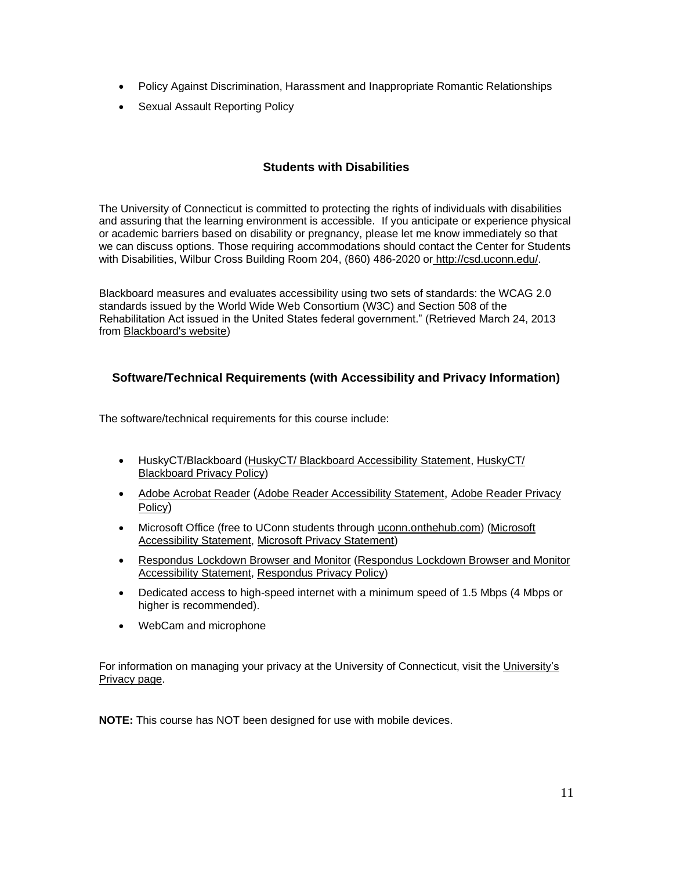- Policy Against Discrimination, Harassment and Inappropriate Romantic Relationships
- Sexual Assault Reporting Policy

### **Students with Disabilities**

The University of Connecticut is committed to protecting the rights of individuals with disabilities and assuring that the learning environment is accessible. If you anticipate or experience physical or academic barriers based on disability or pregnancy, please let me know immediately so that we can discuss options. Those requiring accommodations should contact the Center for Students with Disabilities, Wilbur Cross Building Room 204, (860) 486-2020 or [http://csd.uconn.edu/.](http://csd.uconn.edu/)

Blackboard measures and evaluates accessibility using two sets of standards: the WCAG 2.0 standards issued by the World Wide Web Consortium (W3C) and Section 508 of the Rehabilitation Act issued in the United States federal government." (Retrieved March 24, 2013 from [Blackboard's website\)](http://www.blackboard.com/platforms/learn/resources/accessibility.aspx)

### **Software/Technical Requirements (with Accessibility and Privacy Information)**

The software/technical requirements for this course include:

- HuskyCT/Blackboard [\(HuskyCT/ Blackboard Accessibility Statement,](http://www.blackboard.com/Platforms/Learn/Resources/Accessibility.aspx) [HuskyCT/](http://www.blackboard.com/footer/privacy-policy.aspx)  [Blackboard Privacy Policy\)](http://www.blackboard.com/footer/privacy-policy.aspx)
- [Adobe Acrobat Reader](http://www.adobe.com/products/acrobat/readstep2.html) ([Adobe Reader Accessibility Statement](http://www.adobe.com/accessibility/products/reader.html), [Adobe Reader Privacy](http://www.adobe.com/privacy.html)  [Policy](http://www.adobe.com/privacy.html))
- Microsoft Office (free to UConn students through [uconn.onthehub.com\)](https://uconn.onthehub.com/) [\(Microsoft](http://www.microsoft.com/enable/microsoft/mission.aspx)  [Accessibility Statement,](http://www.microsoft.com/enable/microsoft/mission.aspx) [Microsoft Privacy Statement\)](https://privacy.microsoft.com/en-us/privacystatement/)
- [Respondus Lockdown Browser and Monitor](https://download.respondus.com/lockdown/download.php?id=856213959) [\(Respondus Lockdown Browser and Monitor](https://www.respondus.com/products/accessibility-lockdown.shtml)  [Accessibility Statement,](https://www.respondus.com/products/accessibility-lockdown.shtml) [Respondus Privacy Policy\)](http://www.respondus.com/about/privacy.shtml)
- Dedicated access to high-speed internet with a minimum speed of 1.5 Mbps (4 Mbps or higher is recommended).
- WebCam and microphone

For information on managing your privacy at the University of Connecticut, visit the [University's](https://privacy.uconn.edu/)  [Privacy page.](https://privacy.uconn.edu/)

**NOTE:** This course has NOT been designed for use with mobile devices.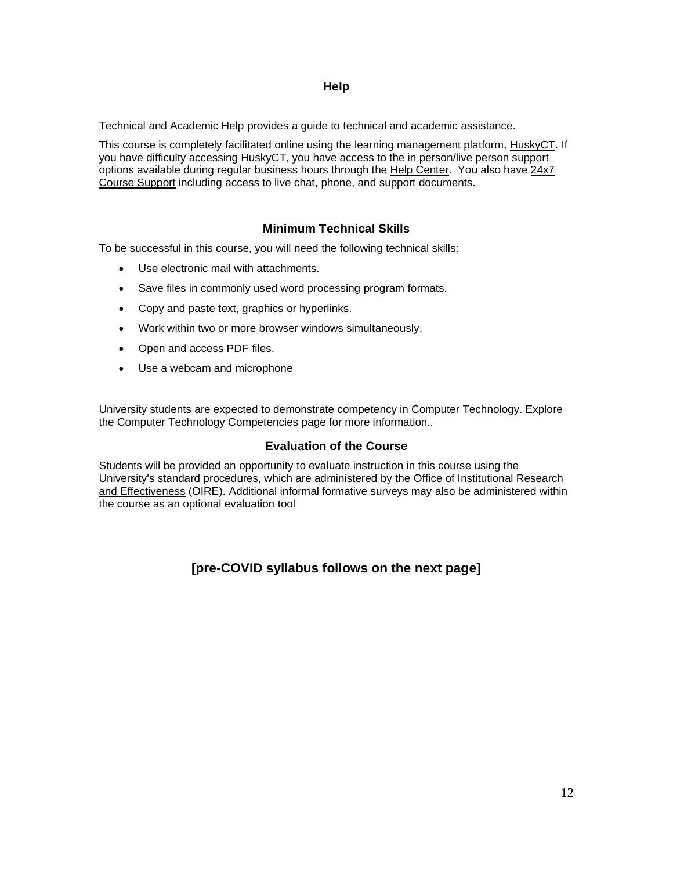#### **Help**

[Technical and Academic Help](https://onlinestudent.uconn.edu/frequently-asked-questions/) provides a guide to technical and academic assistance.

This course is completely facilitated online using the learning management platform, [HuskyCT.](http://huskyct.uconn.edu/) If you have difficulty accessing HuskyCT, you have access to the in person/live person support options available during regular business hours through the [Help Center.](http://helpcenter.uconn.edu/) You also have [24x7](http://www.ecampus24x7.uconn.edu/)  [Course Support](http://www.ecampus24x7.uconn.edu/) including access to live chat, phone, and support documents.

## **Minimum Technical Skills**

To be successful in this course, you will need the following technical skills:

- Use electronic mail with attachments.
- Save files in commonly used word processing program formats.
- Copy and paste text, graphics or hyperlinks.
- Work within two or more browser windows simultaneously.
- Open and access PDF files.
- Use a webcam and microphone

University students are expected to demonstrate competency in Computer Technology. Explore the [Computer Technology Competencies](http://geoc.uconn.edu/computer-technology-competency/) page for more information..

### **Evaluation of the Course**

Students will be provided an opportunity to evaluate instruction in this course using the University's standard procedures, which are administered by the [Office of Institutional Research](http://www.oire.uconn.edu/)  [and Effectiveness](http://www.oire.uconn.edu/) (OIRE). Additional informal formative surveys may also be administered within the course as an optional evaluation tool

## **[pre-COVID syllabus follows on the next page]**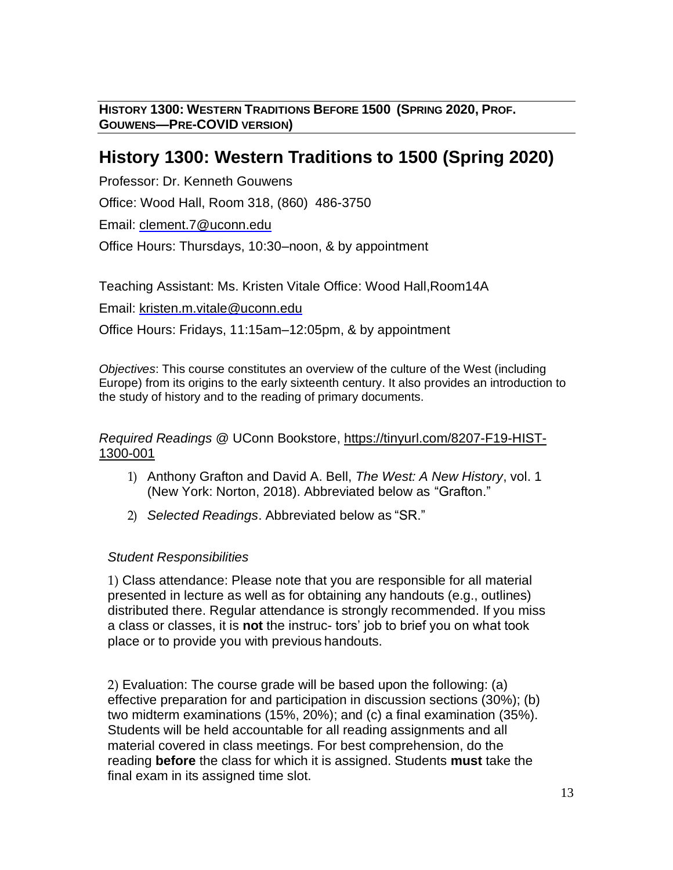**HISTORY 1300: WESTERN TRADITIONS BEFORE 1500 (SPRING 2020, PROF. GOUWENS—PRE-COVID VERSION)**

# **History 1300: Western Traditions to 1500 (Spring 2020)**

Professor: Dr. Kenneth Gouwens

Office: Wood Hall, Room 318, (860) 486-3750

Email: [clement.7@uconn.edu](mailto:clement.7@uconn.edu)

Office Hours: Thursdays, 10:30–noon, & by appointment

Teaching Assistant: Ms. Kristen Vitale Office: Wood Hall,Room14A

Email: [kristen.m.vitale@uconn.edu](mailto:kristen.m.vitale@uconn.edu)

Office Hours: Fridays, 11:15am–12:05pm, & by appointment

*Objectives*: This course constitutes an overview of the culture of the West (including Europe) from its origins to the early sixteenth century. It also provides an introduction to the study of history and to the reading of primary documents.

*Required Readings* @ UConn Bookstore, [https://tinyurl.com/8207-F19-HIST-](https://nam01.safelinks.protection.outlook.com/?url=https%3A%2F%2Ftinyurl.com%2F8207-F19-HIST-1300-001&data=02%7C01%7Ckenneth.gouwens%40uconn.edu%7Caa3073f147f5430cea2d08d7070be5b0%7C17f1a87e2a254eaab9df9d439034b080%7C0%7C0%7C636985619981821457&sdata=WeJmD7jTKJiV7bdtV%2FddcV5ezm9NVnXa%2FFZdkwitkis%3D&reserved=0)[1300-001](https://nam01.safelinks.protection.outlook.com/?url=https%3A%2F%2Ftinyurl.com%2F8207-F19-HIST-1300-001&data=02%7C01%7Ckenneth.gouwens%40uconn.edu%7Caa3073f147f5430cea2d08d7070be5b0%7C17f1a87e2a254eaab9df9d439034b080%7C0%7C0%7C636985619981821457&sdata=WeJmD7jTKJiV7bdtV%2FddcV5ezm9NVnXa%2FFZdkwitkis%3D&reserved=0)

- 1) Anthony Grafton and David A. Bell, *The West: A New History*, vol. 1 (New York: Norton, 2018). Abbreviated below as "Grafton."
- 2) *Selected Readings*. Abbreviated below as "SR."

## *Student Responsibilities*

1) Class attendance: Please note that you are responsible for all material presented in lecture as well as for obtaining any handouts (e.g., outlines) distributed there. Regular attendance is strongly recommended. If you miss a class or classes, it is **not** the instruc- tors' job to brief you on what took place or to provide you with previous handouts.

2) Evaluation: The course grade will be based upon the following: (a) effective preparation for and participation in discussion sections (30%); (b) two midterm examinations (15%, 20%); and (c) a final examination (35%). Students will be held accountable for all reading assignments and all material covered in class meetings. For best comprehension, do the reading **before** the class for which it is assigned. Students **must** take the final exam in its assigned time slot.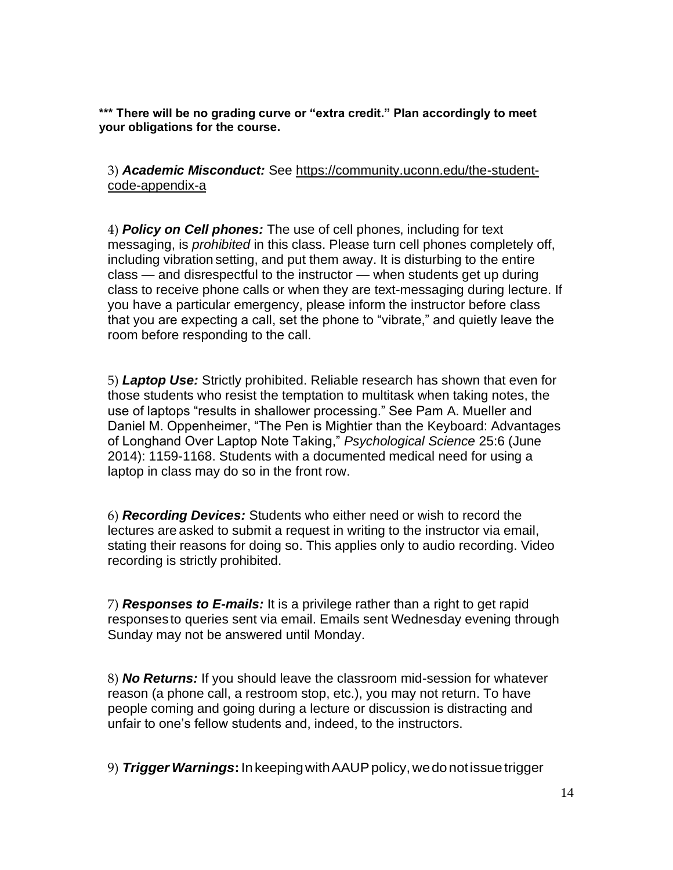**\*\*\* There will be no grading curve or "extra credit." Plan accordingly to meet your obligations for the course.**

3) *Academic Misconduct:* See [https://community.uconn.edu/the-student](https://community.uconn.edu/the-student-code-appendix-a)[code-appendix-a](https://community.uconn.edu/the-student-code-appendix-a)

4) *Policy on Cell phones:* The use of cell phones, including for text messaging, is *prohibited* in this class. Please turn cell phones completely off, including vibration setting, and put them away. It is disturbing to the entire class — and disrespectful to the instructor — when students get up during class to receive phone calls or when they are text-messaging during lecture. If you have a particular emergency, please inform the instructor before class that you are expecting a call, set the phone to "vibrate," and quietly leave the room before responding to the call.

5) *Laptop Use:* Strictly prohibited. Reliable research has shown that even for those students who resist the temptation to multitask when taking notes, the use of laptops "results in shallower processing." See Pam A. Mueller and Daniel M. Oppenheimer, "The Pen is Mightier than the Keyboard: Advantages of Longhand Over Laptop Note Taking," *Psychological Science* 25:6 (June 2014): 1159-1168. Students with a documented medical need for using a laptop in class may do so in the front row.

6) *Recording Devices:* Students who either need or wish to record the lectures are asked to submit a request in writing to the instructor via email, stating their reasons for doing so. This applies only to audio recording. Video recording is strictly prohibited.

7) *Responses to E-mails:* It is a privilege rather than a right to get rapid responses to queries sent via email. Emails sent Wednesday evening through Sunday may not be answered until Monday.

8) *No Returns:* If you should leave the classroom mid-session for whatever reason (a phone call, a restroom stop, etc.), you may not return. To have people coming and going during a lecture or discussion is distracting and unfair to one's fellow students and, indeed, to the instructors.

9) *TriggerWarnings***:**In keepingwithAAUPpolicy,wedo notissue trigger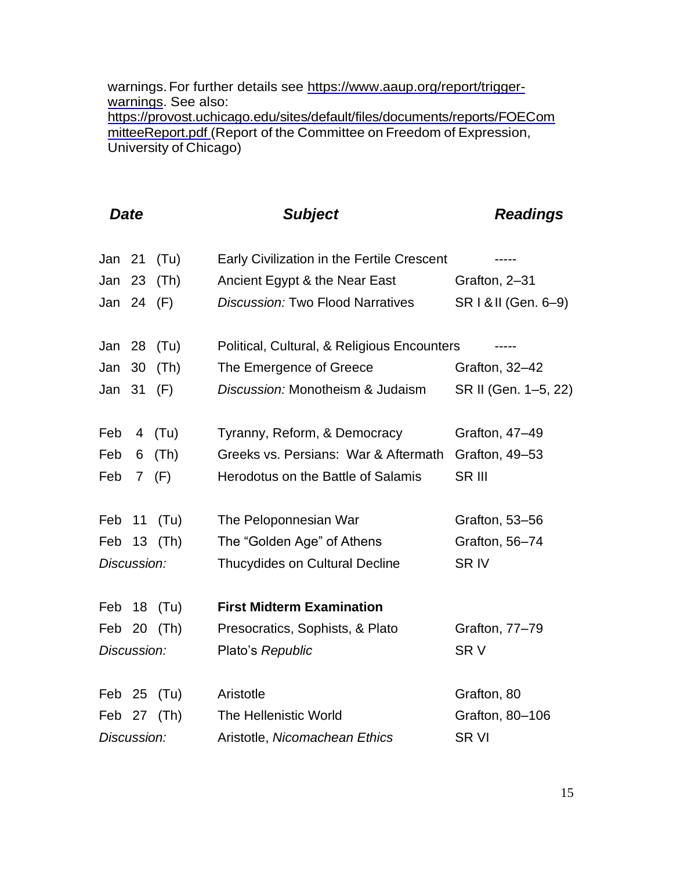warnings. For further details see https:/[/www.aaup.org/report/trigger](http://www.aaup.org/report/trigger-warnings)[warnings.](http://www.aaup.org/report/trigger-warnings) See also: https://provost.uchicago.edu/sites/default/files/documents/reports/FOECom mitteeReport.pdf (Report of the Committee on Freedom of Expression, University of Chicago)

|             | <b>Date</b>     |             | <b>Subject</b>                              | <b>Readings</b>      |
|-------------|-----------------|-------------|---------------------------------------------|----------------------|
| Jan 21      |                 | (Tu)        | Early Civilization in the Fertile Crescent  |                      |
| Jan         | 23              | (Th)        | Ancient Egypt & the Near East               | Grafton, 2-31        |
| Jan 24 (F)  |                 |             | <b>Discussion: Two Flood Narratives</b>     | SR   & II (Gen. 6-9) |
| Jan 28      |                 | (Tu)        | Political, Cultural, & Religious Encounters |                      |
| Jan         | 30              | (Th)        | The Emergence of Greece                     | Grafton, 32-42       |
| Jan         | 31              | (F)         | Discussion: Monotheism & Judaism            | SR II (Gen. 1-5, 22) |
| Feb         |                 | 4 (Tu)      | Tyranny, Reform, & Democracy                | Grafton, 47-49       |
| Feb         | 6               | (Th)        | Greeks vs. Persians: War & Aftermath        | Grafton, 49-53       |
| Feb         | $7\overline{ }$ | (F)         | Herodotus on the Battle of Salamis          | SR III               |
| Feb         | 11              | (Tu)        | The Peloponnesian War                       | Grafton, 53-56       |
| Feb         |                 | 13 (Th)     | The "Golden Age" of Athens                  | Grafton, 56-74       |
| Discussion: |                 |             | Thucydides on Cultural Decline              | <b>SRIV</b>          |
| Feb         |                 | 18 (Tu)     | <b>First Midterm Examination</b>            |                      |
|             |                 | Feb 20 (Th) | Presocratics, Sophists, & Plato             | Grafton, 77-79       |
| Discussion: |                 |             | Plato's Republic                            | SR V                 |
| Feb 25      |                 | (Tu)        | Aristotle                                   | Grafton, 80          |
| Feb         |                 | 27 (Th)     | The Hellenistic World                       | Grafton, 80-106      |
| Discussion: |                 |             | Aristotle, Nicomachean Ethics               | <b>SRVI</b>          |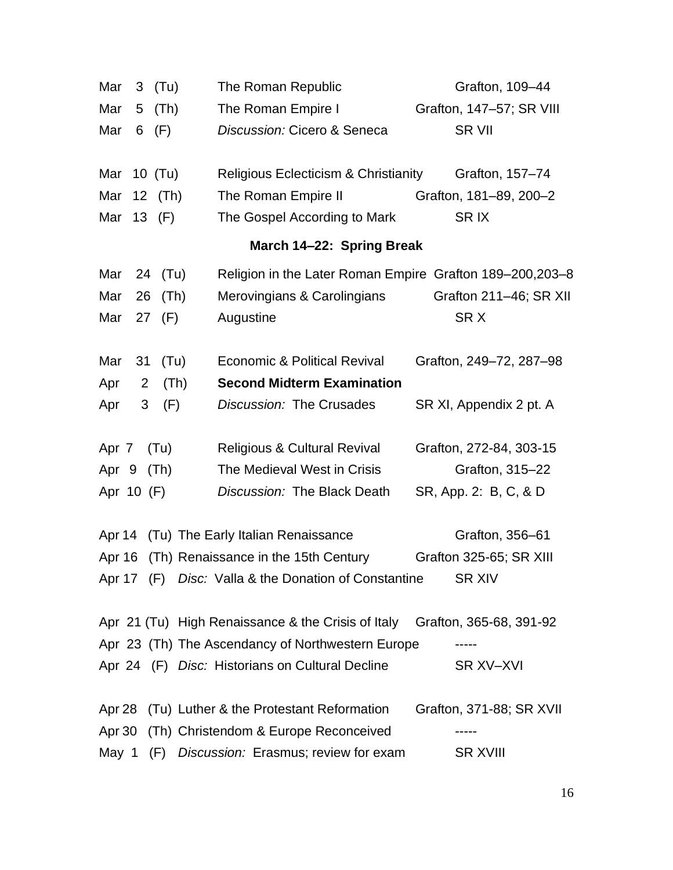| Mar<br>$3$ (Tu)               | The Roman Republic                                                         | Grafton, 109-44          |
|-------------------------------|----------------------------------------------------------------------------|--------------------------|
| Mar<br>(Th)<br>5 <sub>5</sub> | The Roman Empire I                                                         | Grafton, 147-57; SR VIII |
| Mar<br>(F)<br>6               | Discussion: Cicero & Seneca                                                | <b>SR VII</b>            |
| Mar 10 (Tu)                   | <b>Religious Eclecticism &amp; Christianity</b>                            | Grafton, 157-74          |
| Mar 12 (Th)                   | The Roman Empire II                                                        | Grafton, 181-89, 200-2   |
| Mar 13 (F)                    | The Gospel According to Mark                                               | SR <sub>IX</sub>         |
|                               | March 14-22: Spring Break                                                  |                          |
| 24 (Tu)<br>Mar                | Religion in the Later Roman Empire Grafton 189-200,203-8                   |                          |
| Mar<br>(Th)<br>26             | Merovingians & Carolingians                                                | Grafton 211-46; SR XII   |
| Mar<br>27<br>(F)              | Augustine                                                                  | SRX                      |
| 31<br>(Tu)<br>Mar             | <b>Economic &amp; Political Revival</b>                                    | Grafton, 249-72, 287-98  |
| Apr<br>$\overline{2}$<br>(Th) | <b>Second Midterm Examination</b>                                          |                          |
| 3<br>(F)<br>Apr               | Discussion: The Crusades                                                   | SR XI, Appendix 2 pt. A  |
| Apr 7<br>(Tu)                 | <b>Religious &amp; Cultural Revival</b>                                    | Grafton, 272-84, 303-15  |
| Apr 9<br>(Th)                 | The Medieval West in Crisis                                                | Grafton, 315-22          |
| Apr 10 (F)                    | Discussion: The Black Death                                                | SR, App. 2: B, C, & D    |
| Apr 14                        | (Tu) The Early Italian Renaissance                                         | Grafton, 356-61          |
|                               | Apr 16 (Th) Renaissance in the 15th Century                                | Grafton 325-65; SR XIII  |
|                               | Apr 17 (F) Disc: Valla & the Donation of Constantine                       | <b>SR XIV</b>            |
|                               | Apr 21 (Tu) High Renaissance & the Crisis of Italy Grafton, 365-68, 391-92 |                          |
|                               | Apr 23 (Th) The Ascendancy of Northwestern Europe                          |                          |
|                               | Apr 24 (F) Disc: Historians on Cultural Decline                            | SR XV-XVI                |
| Apr 28                        | (Tu) Luther & the Protestant Reformation                                   | Grafton, 371-88; SR XVII |
| Apr 30                        | (Th) Christendom & Europe Reconceived                                      |                          |
| May 1<br>(F)                  | Discussion: Erasmus; review for exam                                       | <b>SR XVIII</b>          |
|                               |                                                                            |                          |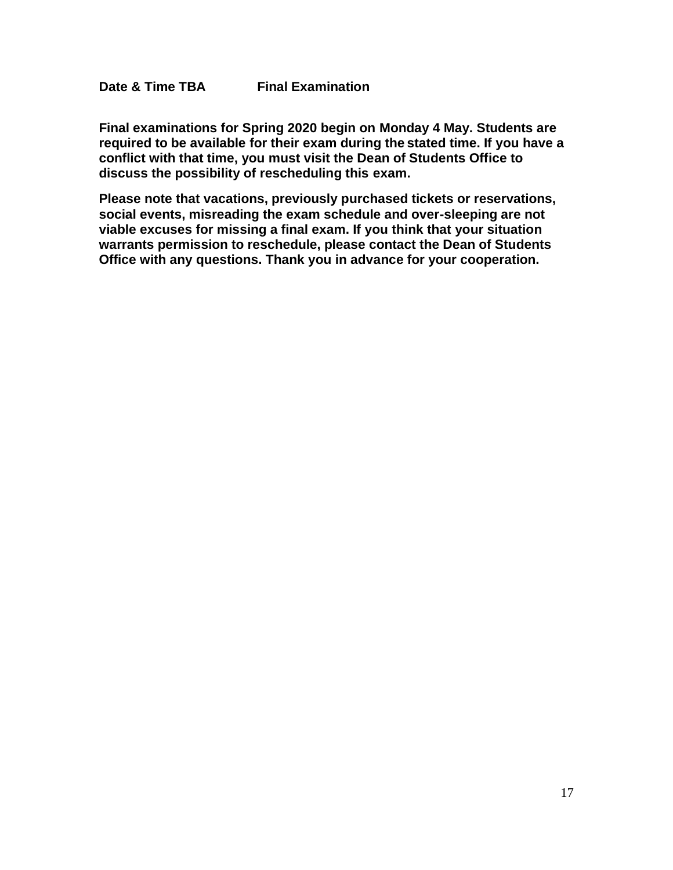**Final examinations for Spring 2020 begin on Monday 4 May. Students are required to be available for their exam during the stated time. If you have a conflict with that time, you must visit the Dean of Students Office to discuss the possibility of rescheduling this exam.**

**Please note that vacations, previously purchased tickets or reservations, social events, misreading the exam schedule and over-sleeping are not viable excuses for missing a final exam. If you think that your situation warrants permission to reschedule, please contact the Dean of Students Office with any questions. Thank you in advance for your cooperation.**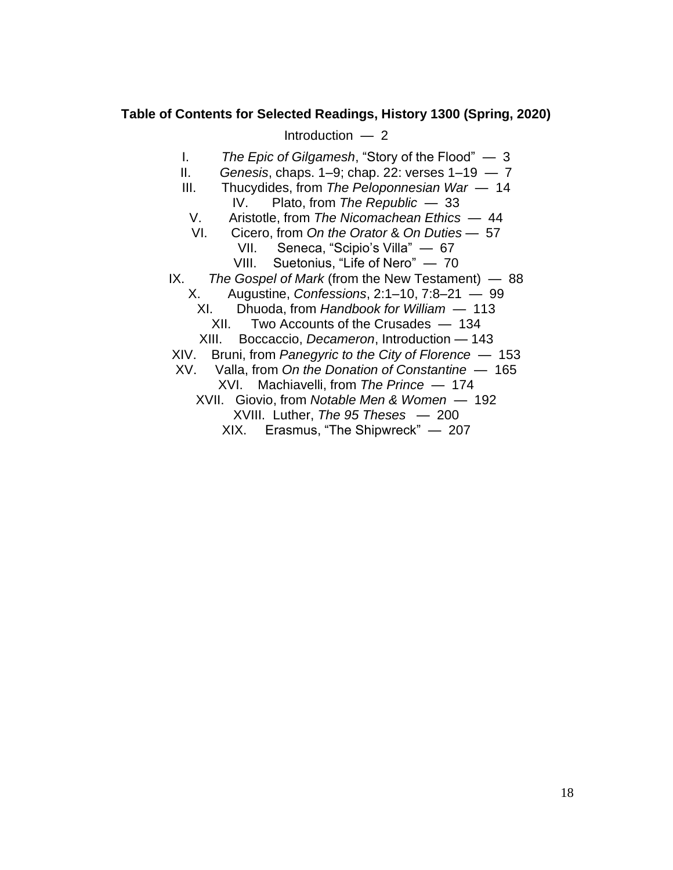### **Table of Contents for Selected Readings, History 1300 (Spring, 2020)**

Introduction — 2

I. *The Epic of Gilgamesh*, "Story of the Flood" — 3

- II. *Genesis*, chaps. 1–9; chap. 22: verses 1–19 7
- III. Thucydides, from *The Peloponnesian War* 14 IV. Plato, from *The Republic* — 33
	- V. Aristotle, from *The Nicomachean Ethics* 44
	- VI. Cicero, from *On the Orator* & *On Duties*  57
		- VII. Seneca, "Scipio's Villa" 67
		- VIII. Suetonius, "Life of Nero" 70
- IX. *The Gospel of Mark* (from the New Testament) 88
	- X. Augustine, *Confessions*, 2:1–10, 7:8–21 99
		- XI. Dhuoda, from *Handbook for William* 113
			- XII. Two Accounts of the Crusades 134
		- XIII. Boccaccio, *Decameron*, Introduction 143
- XIV. Bruni, from *Panegyric to the City of Florence* 153
- XV. Valla, from *On the Donation of Constantine* 165
	- XVI. Machiavelli, from *The Prince*  174
	- XVII. Giovio, from *Notable Men & Women* 192
		- XVIII. Luther, *The 95 Theses* 200
		- XIX. Erasmus, "The Shipwreck" 207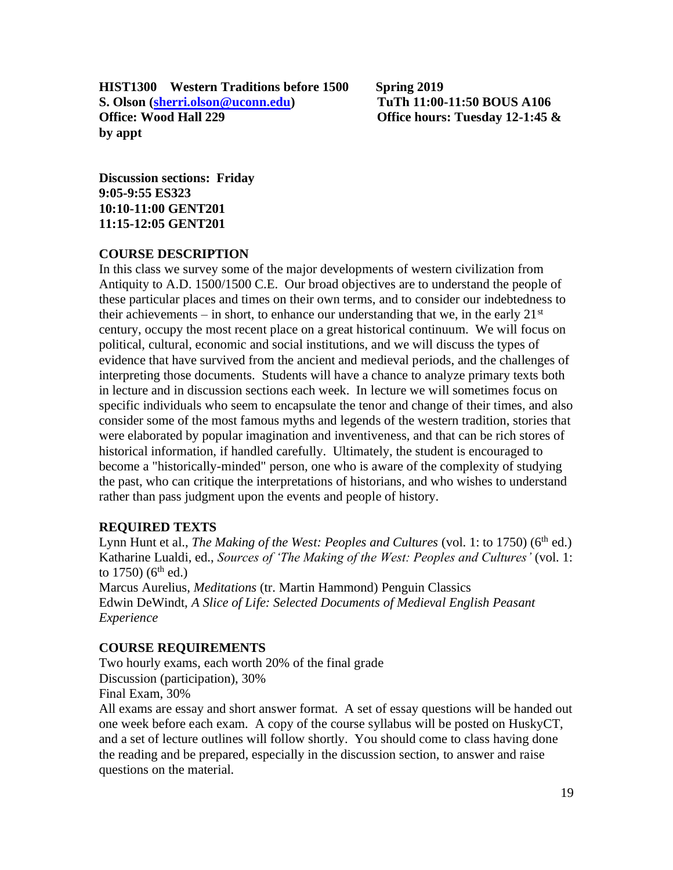**HIST1300 Western Traditions before 1500 Spring 2019 S. Olson [\(sherri.olson@uconn.edu\)](mailto:sherri.olson@uconn.edu) TuTh 11:00-11:50 BOUS A106 Office: Wood Hall 229 Office hours: Tuesday 12-1:45 & by appt** 

**Discussion sections: Friday 9:05-9:55 ES323 10:10-11:00 GENT201 11:15-12:05 GENT201**

### **COURSE DESCRIPTION**

In this class we survey some of the major developments of western civilization from Antiquity to A.D. 1500/1500 C.E. Our broad objectives are to understand the people of these particular places and times on their own terms, and to consider our indebtedness to their achievements – in short, to enhance our understanding that we, in the early  $21<sup>st</sup>$ century, occupy the most recent place on a great historical continuum. We will focus on political, cultural, economic and social institutions, and we will discuss the types of evidence that have survived from the ancient and medieval periods, and the challenges of interpreting those documents. Students will have a chance to analyze primary texts both in lecture and in discussion sections each week. In lecture we will sometimes focus on specific individuals who seem to encapsulate the tenor and change of their times, and also consider some of the most famous myths and legends of the western tradition, stories that were elaborated by popular imagination and inventiveness, and that can be rich stores of historical information, if handled carefully. Ultimately, the student is encouraged to become a "historically-minded" person, one who is aware of the complexity of studying the past, who can critique the interpretations of historians, and who wishes to understand rather than pass judgment upon the events and people of history.

### **REQUIRED TEXTS**

Lynn Hunt et al., *The Making of the West: Peoples and Cultures* (vol. 1: to 1750) (6<sup>th</sup> ed.) Katharine Lualdi, ed., *Sources of 'The Making of the West: Peoples and Cultures'* (vol. 1: to  $1750$ ) (6<sup>th</sup> ed.)

Marcus Aurelius, *Meditations* (tr. Martin Hammond) Penguin Classics Edwin DeWindt, *A Slice of Life: Selected Documents of Medieval English Peasant Experience* 

#### **COURSE REQUIREMENTS**

Two hourly exams, each worth 20% of the final grade Discussion (participation), 30% Final Exam, 30%

All exams are essay and short answer format. A set of essay questions will be handed out one week before each exam. A copy of the course syllabus will be posted on HuskyCT, and a set of lecture outlines will follow shortly. You should come to class having done the reading and be prepared, especially in the discussion section, to answer and raise questions on the material.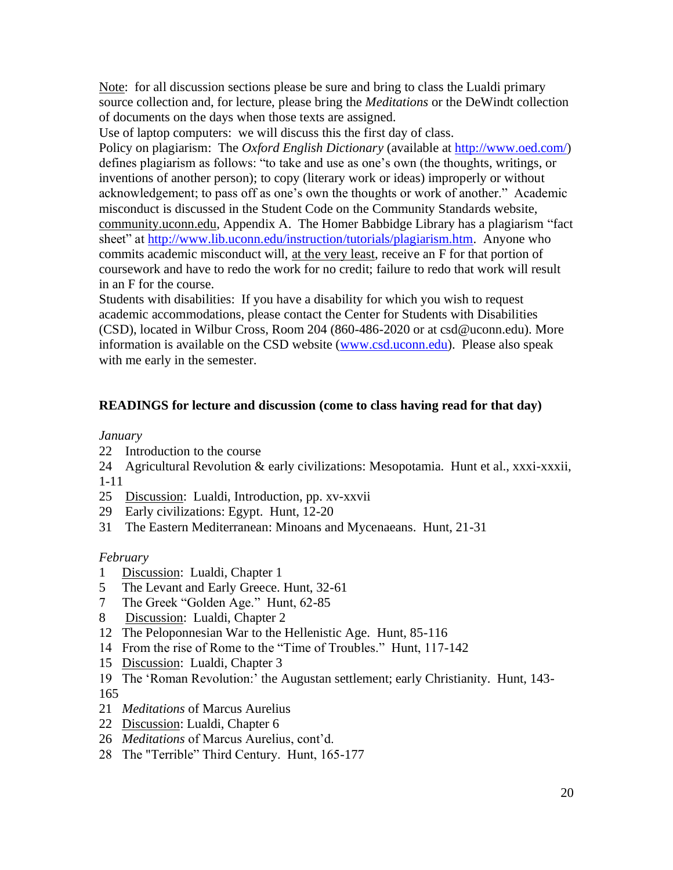Note: for all discussion sections please be sure and bring to class the Lualdi primary source collection and, for lecture, please bring the *Meditations* or the DeWindt collection of documents on the days when those texts are assigned.

Use of laptop computers: we will discuss this the first day of class.

Policy on plagiarism: The *Oxford English Dictionary* (available at [http://www.oed.com/\)](http://www.oed.com/) defines plagiarism as follows: "to take and use as one's own (the thoughts, writings, or inventions of another person); to copy (literary work or ideas) improperly or without acknowledgement; to pass off as one's own the thoughts or work of another." Academic misconduct is discussed in the Student Code on the Community Standards website, community.uconn.edu, Appendix A. The Homer Babbidge Library has a plagiarism "fact sheet" at [http://www.lib.uconn.edu/instruction/tutorials/plagiarism.htm.](http://www.lib.uconn.edu/instruction/tutorials/plagiarism.htm) Anyone who commits academic misconduct will, at the very least, receive an F for that portion of coursework and have to redo the work for no credit; failure to redo that work will result in an F for the course.

Students with disabilities: If you have a disability for which you wish to request academic accommodations, please contact the Center for Students with Disabilities (CSD), located in Wilbur Cross, Room 204 (860-486-2020 or at csd@uconn.edu). More information is available on the CSD website [\(www.csd.uconn.edu\)](http://www.csd.uconn.edu/). Please also speak with me early in the semester.

## **READINGS for lecture and discussion (come to class having read for that day)**

### *January*

- 22 Introduction to the course
- 24 Agricultural Revolution & early civilizations: Mesopotamia. Hunt et al., xxxi-xxxii, 1-11
- 25 Discussion: Lualdi, Introduction, pp. xv-xxvii
- 29 Early civilizations: Egypt. Hunt, 12-20
- 31 The Eastern Mediterranean: Minoans and Mycenaeans. Hunt, 21-31

### *February*

- 1 Discussion: Lualdi, Chapter 1
- 5 The Levant and Early Greece. Hunt, 32-61
- 7 The Greek "Golden Age." Hunt, 62-85
- 8 Discussion: Lualdi, Chapter 2
- 12 The Peloponnesian War to the Hellenistic Age. Hunt, 85-116
- 14 From the rise of Rome to the "Time of Troubles." Hunt, 117-142
- 15 Discussion: Lualdi, Chapter 3
- 19 The 'Roman Revolution:' the Augustan settlement; early Christianity. Hunt, 143- 165
- 21 *Meditations* of Marcus Aurelius
- 22 Discussion: Lualdi, Chapter 6
- 26 *Meditations* of Marcus Aurelius, cont'd.
- 28 The "Terrible" Third Century. Hunt, 165-177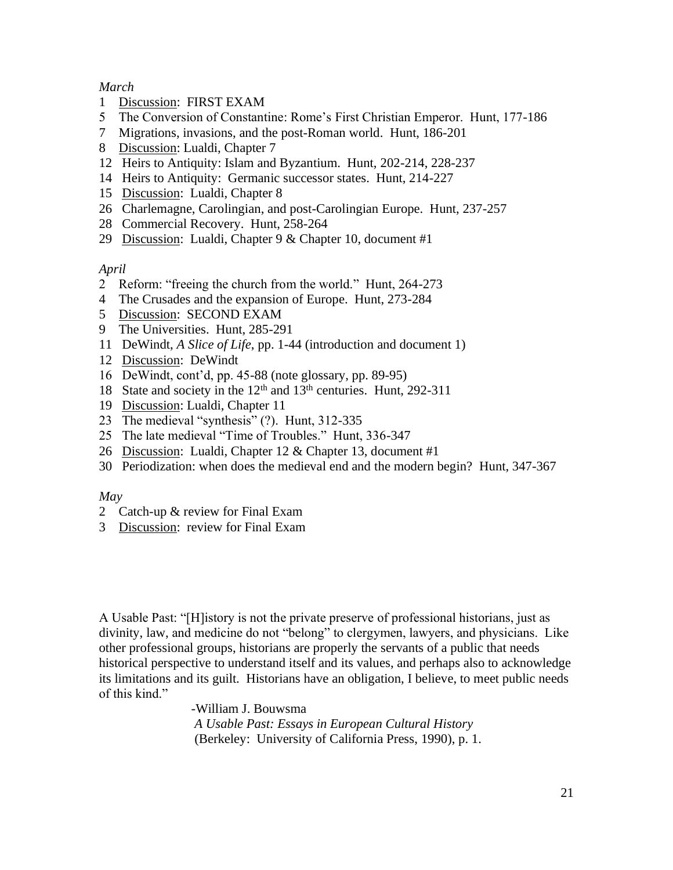### *March*

- 1 Discussion: FIRST EXAM
- 5 The Conversion of Constantine: Rome's First Christian Emperor. Hunt, 177-186
- 7 Migrations, invasions, and the post-Roman world. Hunt, 186-201
- 8 Discussion: Lualdi, Chapter 7
- 12 Heirs to Antiquity: Islam and Byzantium. Hunt, 202-214, 228-237
- 14 Heirs to Antiquity: Germanic successor states. Hunt, 214-227
- 15 Discussion: Lualdi, Chapter 8
- 26 Charlemagne, Carolingian, and post-Carolingian Europe. Hunt, 237-257
- 28 Commercial Recovery. Hunt, 258-264
- 29 Discussion: Lualdi, Chapter 9 & Chapter 10, document #1

#### *April*

- 2 Reform: "freeing the church from the world." Hunt, 264-273
- 4 The Crusades and the expansion of Europe. Hunt, 273-284
- 5 Discussion: SECOND EXAM
- 9 The Universities. Hunt, 285-291
- 11 DeWindt, *A Slice of Life*, pp. 1-44 (introduction and document 1)
- 12 Discussion: DeWindt
- 16 DeWindt, cont'd, pp. 45-88 (note glossary, pp. 89-95)
- 18 State and society in the 12<sup>th</sup> and 13<sup>th</sup> centuries. Hunt, 292-311
- 19 Discussion: Lualdi, Chapter 11
- 23 The medieval "synthesis" (?). Hunt, 312-335
- 25 The late medieval "Time of Troubles." Hunt, 336-347
- 26 Discussion: Lualdi, Chapter 12 & Chapter 13, document #1
- 30 Periodization: when does the medieval end and the modern begin? Hunt, 347-367

#### *May*

- 2 Catch-up & review for Final Exam
- 3 Discussion: review for Final Exam

A Usable Past: "[H]istory is not the private preserve of professional historians, just as divinity, law, and medicine do not "belong" to clergymen, lawyers, and physicians. Like other professional groups, historians are properly the servants of a public that needs historical perspective to understand itself and its values, and perhaps also to acknowledge its limitations and its guilt. Historians have an obligation, I believe, to meet public needs of this kind."

> -William J. Bouwsma *A Usable Past: Essays in European Cultural History* (Berkeley: University of California Press, 1990), p. 1.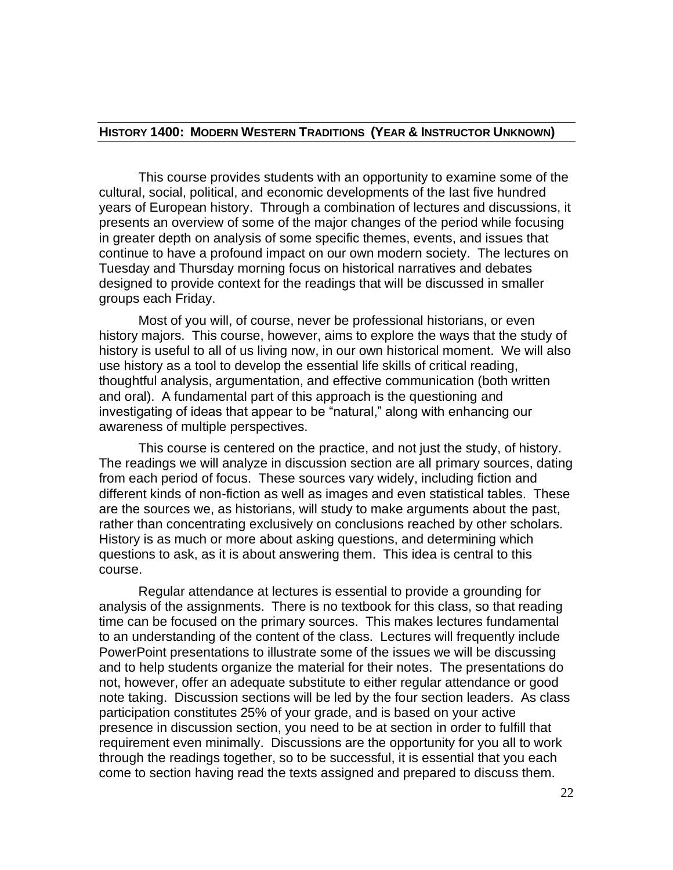#### **HISTORY 1400: MODERN WESTERN TRADITIONS (YEAR & INSTRUCTOR UNKNOWN)**

This course provides students with an opportunity to examine some of the cultural, social, political, and economic developments of the last five hundred years of European history. Through a combination of lectures and discussions, it presents an overview of some of the major changes of the period while focusing in greater depth on analysis of some specific themes, events, and issues that continue to have a profound impact on our own modern society. The lectures on Tuesday and Thursday morning focus on historical narratives and debates designed to provide context for the readings that will be discussed in smaller groups each Friday.

Most of you will, of course, never be professional historians, or even history majors. This course, however, aims to explore the ways that the study of history is useful to all of us living now, in our own historical moment. We will also use history as a tool to develop the essential life skills of critical reading, thoughtful analysis, argumentation, and effective communication (both written and oral). A fundamental part of this approach is the questioning and investigating of ideas that appear to be "natural," along with enhancing our awareness of multiple perspectives.

This course is centered on the practice, and not just the study, of history. The readings we will analyze in discussion section are all primary sources, dating from each period of focus. These sources vary widely, including fiction and different kinds of non-fiction as well as images and even statistical tables. These are the sources we, as historians, will study to make arguments about the past, rather than concentrating exclusively on conclusions reached by other scholars. History is as much or more about asking questions, and determining which questions to ask, as it is about answering them. This idea is central to this course.

Regular attendance at lectures is essential to provide a grounding for analysis of the assignments. There is no textbook for this class, so that reading time can be focused on the primary sources. This makes lectures fundamental to an understanding of the content of the class. Lectures will frequently include PowerPoint presentations to illustrate some of the issues we will be discussing and to help students organize the material for their notes. The presentations do not, however, offer an adequate substitute to either regular attendance or good note taking. Discussion sections will be led by the four section leaders. As class participation constitutes 25% of your grade, and is based on your active presence in discussion section, you need to be at section in order to fulfill that requirement even minimally. Discussions are the opportunity for you all to work through the readings together, so to be successful, it is essential that you each come to section having read the texts assigned and prepared to discuss them.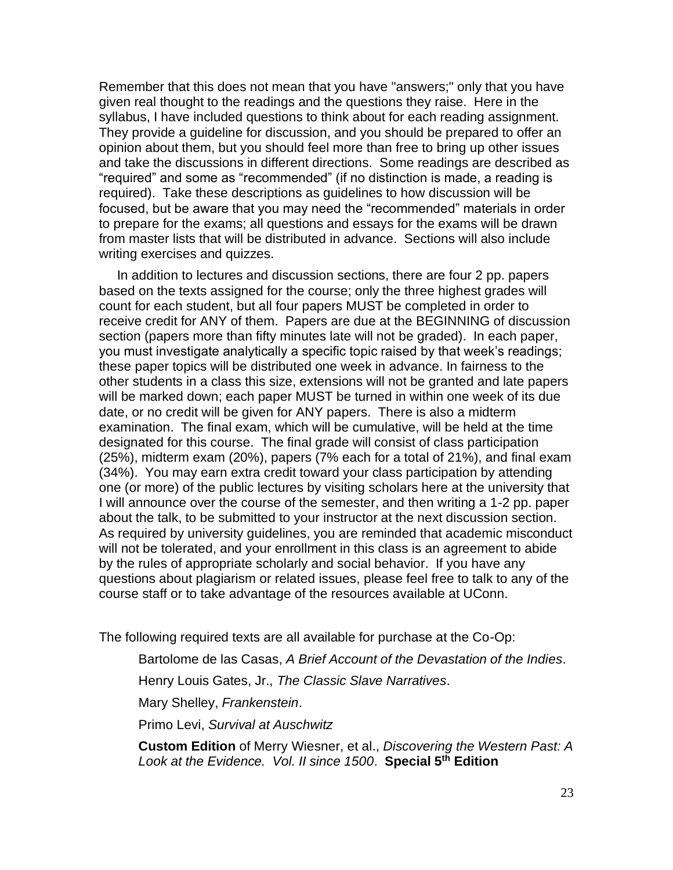Remember that this does not mean that you have "answers;" only that you have given real thought to the readings and the questions they raise. Here in the syllabus, I have included questions to think about for each reading assignment. They provide a guideline for discussion, and you should be prepared to offer an opinion about them, but you should feel more than free to bring up other issues and take the discussions in different directions. Some readings are described as "required" and some as "recommended" (if no distinction is made, a reading is required). Take these descriptions as guidelines to how discussion will be focused, but be aware that you may need the "recommended" materials in order to prepare for the exams; all questions and essays for the exams will be drawn from master lists that will be distributed in advance. Sections will also include writing exercises and quizzes.

 In addition to lectures and discussion sections, there are four 2 pp. papers based on the texts assigned for the course; only the three highest grades will count for each student, but all four papers MUST be completed in order to receive credit for ANY of them. Papers are due at the BEGINNING of discussion section (papers more than fifty minutes late will not be graded). In each paper, you must investigate analytically a specific topic raised by that week's readings; these paper topics will be distributed one week in advance. In fairness to the other students in a class this size, extensions will not be granted and late papers will be marked down; each paper MUST be turned in within one week of its due date, or no credit will be given for ANY papers. There is also a midterm examination. The final exam, which will be cumulative, will be held at the time designated for this course. The final grade will consist of class participation (25%), midterm exam (20%), papers (7% each for a total of 21%), and final exam (34%). You may earn extra credit toward your class participation by attending one (or more) of the public lectures by visiting scholars here at the university that I will announce over the course of the semester, and then writing a 1-2 pp. paper about the talk, to be submitted to your instructor at the next discussion section. As required by university guidelines, you are reminded that academic misconduct will not be tolerated, and your enrollment in this class is an agreement to abide by the rules of appropriate scholarly and social behavior. If you have any questions about plagiarism or related issues, please feel free to talk to any of the course staff or to take advantage of the resources available at UConn.

The following required texts are all available for purchase at the Co-Op:

Bartolome de las Casas, *A Brief Account of the Devastation of the Indies*.

Henry Louis Gates, Jr., *The Classic Slave Narratives*.

Mary Shelley, *Frankenstein*.

Primo Levi, *Survival at Auschwitz*

**Custom Edition** of Merry Wiesner, et al., *Discovering the Western Past: A Look at the Evidence. Vol. II since 1500*. **Special 5th Edition**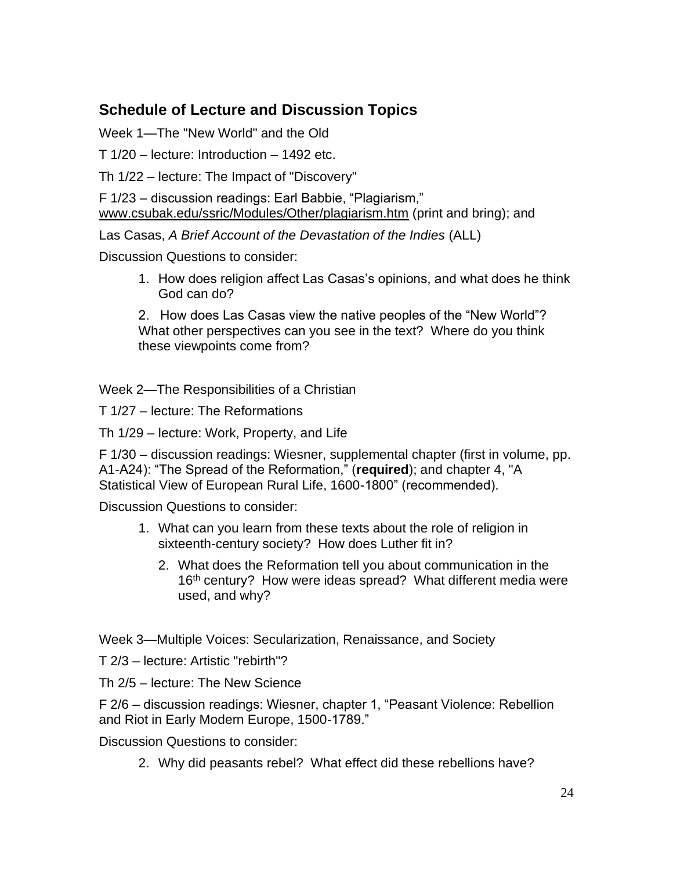# **Schedule of Lecture and Discussion Topics**

Week 1—The "New World" and the Old

T 1/20 – lecture: Introduction – 1492 etc.

Th 1/22 – lecture: The Impact of "Discovery"

F 1/23 – discussion readings: Earl Babbie, "Plagiarism," [www.csubak.edu/ssric/Modules/Other/plagiarism.htm](http://www.csubak.edu/ssric/Modules/Other/plagiarism.htm) (print and bring); and

Las Casas, *A Brief Account of the Devastation of the Indies* (ALL)

Discussion Questions to consider:

1. How does religion affect Las Casas's opinions, and what does he think God can do?

2. How does Las Casas view the native peoples of the "New World"? What other perspectives can you see in the text? Where do you think these viewpoints come from?

Week 2—The Responsibilities of a Christian

T 1/27 – lecture: The Reformations

Th 1/29 – lecture: Work, Property, and Life

F 1/30 – discussion readings: Wiesner, supplemental chapter (first in volume, pp. A1-A24): "The Spread of the Reformation," (**required**); and chapter 4, "A Statistical View of European Rural Life, 1600-1800" (recommended).

Discussion Questions to consider:

- 1. What can you learn from these texts about the role of religion in sixteenth-century society? How does Luther fit in?
	- 2. What does the Reformation tell you about communication in the 16<sup>th</sup> century? How were ideas spread? What different media were used, and why?

Week 3—Multiple Voices: Secularization, Renaissance, and Society

T 2/3 – lecture: Artistic "rebirth"?

Th 2/5 – lecture: The New Science

F 2/6 – discussion readings: Wiesner, chapter 1, "Peasant Violence: Rebellion and Riot in Early Modern Europe, 1500-1789."

Discussion Questions to consider:

2. Why did peasants rebel? What effect did these rebellions have?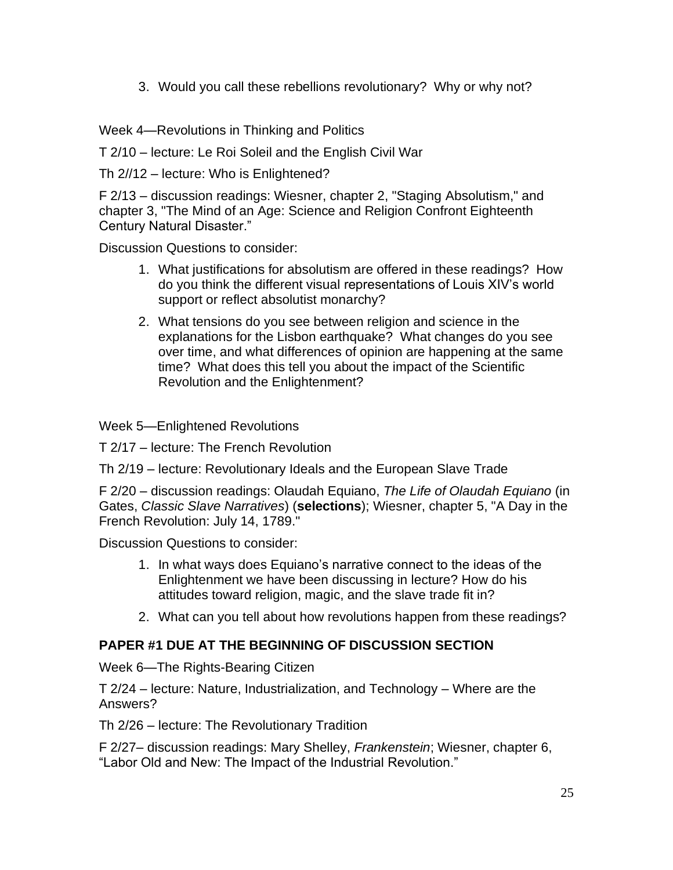3. Would you call these rebellions revolutionary? Why or why not?

Week 4—Revolutions in Thinking and Politics

T 2/10 – lecture: Le Roi Soleil and the English Civil War

Th 2//12 – lecture: Who is Enlightened?

F 2/13 – discussion readings: Wiesner, chapter 2, "Staging Absolutism," and chapter 3, "The Mind of an Age: Science and Religion Confront Eighteenth Century Natural Disaster."

Discussion Questions to consider:

- 1. What justifications for absolutism are offered in these readings? How do you think the different visual representations of Louis XIV's world support or reflect absolutist monarchy?
- 2. What tensions do you see between religion and science in the explanations for the Lisbon earthquake? What changes do you see over time, and what differences of opinion are happening at the same time? What does this tell you about the impact of the Scientific Revolution and the Enlightenment?

Week 5—Enlightened Revolutions

T 2/17 – lecture: The French Revolution

Th 2/19 – lecture: Revolutionary Ideals and the European Slave Trade

F 2/20 – discussion readings: Olaudah Equiano, *The Life of Olaudah Equiano* (in Gates, *Classic Slave Narratives*) (**selections**); Wiesner, chapter 5, "A Day in the French Revolution: July 14, 1789."

Discussion Questions to consider:

- 1. In what ways does Equiano's narrative connect to the ideas of the Enlightenment we have been discussing in lecture? How do his attitudes toward religion, magic, and the slave trade fit in?
- 2. What can you tell about how revolutions happen from these readings?

# **PAPER #1 DUE AT THE BEGINNING OF DISCUSSION SECTION**

Week 6—The Rights-Bearing Citizen

T 2/24 – lecture: Nature, Industrialization, and Technology – Where are the Answers?

Th 2/26 – lecture: The Revolutionary Tradition

F 2/27– discussion readings: Mary Shelley, *Frankenstein*; Wiesner, chapter 6, "Labor Old and New: The Impact of the Industrial Revolution."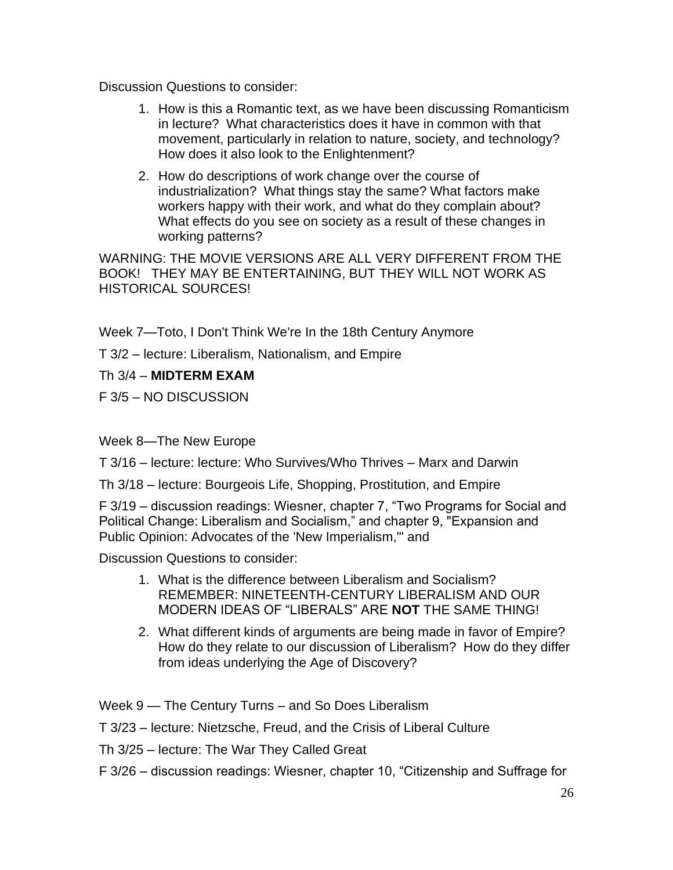Discussion Questions to consider:

- 1. How is this a Romantic text, as we have been discussing Romanticism in lecture? What characteristics does it have in common with that movement, particularly in relation to nature, society, and technology? How does it also look to the Enlightenment?
- 2. How do descriptions of work change over the course of industrialization? What things stay the same? What factors make workers happy with their work, and what do they complain about? What effects do you see on society as a result of these changes in working patterns?

WARNING: THE MOVIE VERSIONS ARE ALL VERY DIFFERENT FROM THE BOOK! THEY MAY BE ENTERTAINING, BUT THEY WILL NOT WORK AS HISTORICAL SOURCES!

Week 7—Toto, I Don't Think We're In the 18th Century Anymore

T 3/2 – lecture: Liberalism, Nationalism, and Empire

Th 3/4 – **MIDTERM EXAM**

F 3/5 – NO DISCUSSION

Week 8—The New Europe

T 3/16 – lecture: lecture: Who Survives/Who Thrives – Marx and Darwin

Th 3/18 – lecture: Bourgeois Life, Shopping, Prostitution, and Empire

F 3/19 – discussion readings: Wiesner, chapter 7, "Two Programs for Social and Political Change: Liberalism and Socialism," and chapter 9, "Expansion and Public Opinion: Advocates of the 'New Imperialism,'" and

Discussion Questions to consider:

- 1. What is the difference between Liberalism and Socialism? REMEMBER: NINETEENTH-CENTURY LIBERALISM AND OUR MODERN IDEAS OF "LIBERALS" ARE **NOT** THE SAME THING!
- 2. What different kinds of arguments are being made in favor of Empire? How do they relate to our discussion of Liberalism? How do they differ from ideas underlying the Age of Discovery?

Week 9 — The Century Turns – and So Does Liberalism

T 3/23 – lecture: Nietzsche, Freud, and the Crisis of Liberal Culture

Th 3/25 – lecture: The War They Called Great

F 3/26 – discussion readings: Wiesner, chapter 10, "Citizenship and Suffrage for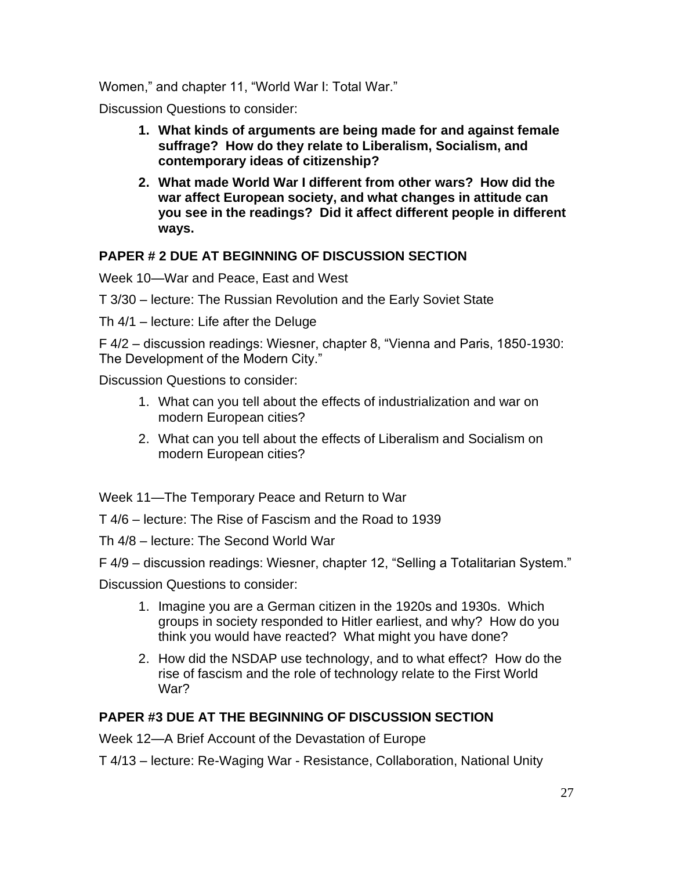Women," and chapter 11, "World War I: Total War."

Discussion Questions to consider:

- **1. What kinds of arguments are being made for and against female suffrage? How do they relate to Liberalism, Socialism, and contemporary ideas of citizenship?**
- **2. What made World War I different from other wars? How did the war affect European society, and what changes in attitude can you see in the readings? Did it affect different people in different ways.**

## **PAPER # 2 DUE AT BEGINNING OF DISCUSSION SECTION**

Week 10—War and Peace, East and West

T 3/30 – lecture: The Russian Revolution and the Early Soviet State

Th 4/1 – lecture: Life after the Deluge

F 4/2 – discussion readings: Wiesner, chapter 8, "Vienna and Paris, 1850-1930: The Development of the Modern City."

Discussion Questions to consider:

- 1. What can you tell about the effects of industrialization and war on modern European cities?
- 2. What can you tell about the effects of Liberalism and Socialism on modern European cities?

Week 11—The Temporary Peace and Return to War

T 4/6 – lecture: The Rise of Fascism and the Road to 1939

Th 4/8 – lecture: The Second World War

F 4/9 – discussion readings: Wiesner, chapter 12, "Selling a Totalitarian System."

Discussion Questions to consider:

- 1. Imagine you are a German citizen in the 1920s and 1930s. Which groups in society responded to Hitler earliest, and why? How do you think you would have reacted? What might you have done?
- 2. How did the NSDAP use technology, and to what effect? How do the rise of fascism and the role of technology relate to the First World War?

## **PAPER #3 DUE AT THE BEGINNING OF DISCUSSION SECTION**

Week 12—A Brief Account of the Devastation of Europe

T 4/13 – lecture: Re-Waging War - Resistance, Collaboration, National Unity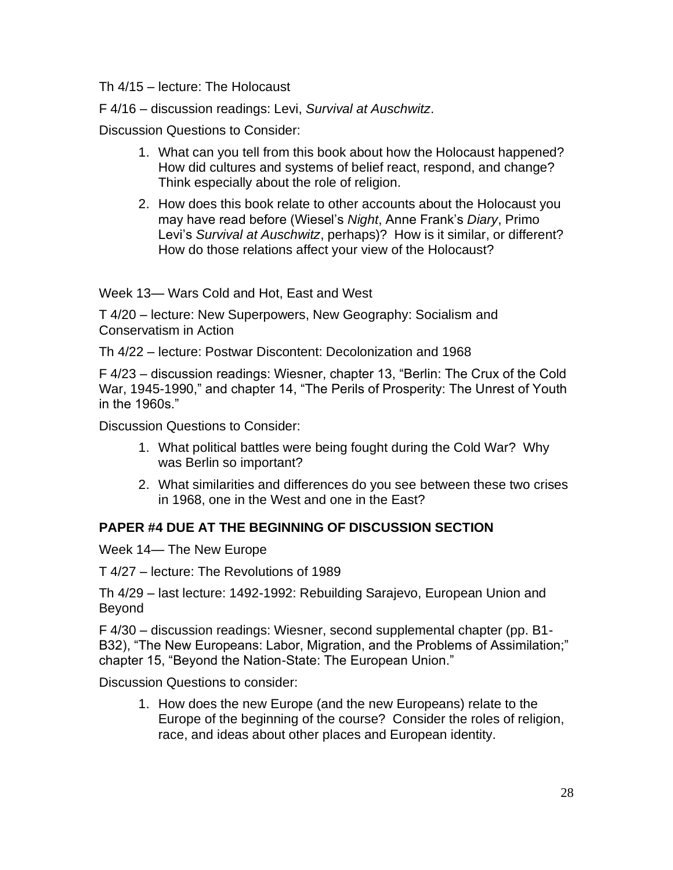Th 4/15 – lecture: The Holocaust

F 4/16 – discussion readings: Levi, *Survival at Auschwitz*.

Discussion Questions to Consider:

- 1. What can you tell from this book about how the Holocaust happened? How did cultures and systems of belief react, respond, and change? Think especially about the role of religion.
- 2. How does this book relate to other accounts about the Holocaust you may have read before (Wiesel's *Night*, Anne Frank's *Diary*, Primo Levi's *Survival at Auschwitz*, perhaps)? How is it similar, or different? How do those relations affect your view of the Holocaust?

Week 13— Wars Cold and Hot, East and West

T 4/20 – lecture: New Superpowers, New Geography: Socialism and Conservatism in Action

Th 4/22 – lecture: Postwar Discontent: Decolonization and 1968

F 4/23 – discussion readings: Wiesner, chapter 13, "Berlin: The Crux of the Cold War, 1945-1990," and chapter 14, "The Perils of Prosperity: The Unrest of Youth in the 1960s."

Discussion Questions to Consider:

- 1. What political battles were being fought during the Cold War? Why was Berlin so important?
- 2. What similarities and differences do you see between these two crises in 1968, one in the West and one in the East?

## **PAPER #4 DUE AT THE BEGINNING OF DISCUSSION SECTION**

Week 14— The New Europe

T 4/27 – lecture: The Revolutions of 1989

Th 4/29 – last lecture: 1492-1992: Rebuilding Sarajevo, European Union and Beyond

F 4/30 – discussion readings: Wiesner, second supplemental chapter (pp. B1- B32), "The New Europeans: Labor, Migration, and the Problems of Assimilation;" chapter 15, "Beyond the Nation-State: The European Union."

Discussion Questions to consider:

1. How does the new Europe (and the new Europeans) relate to the Europe of the beginning of the course? Consider the roles of religion, race, and ideas about other places and European identity.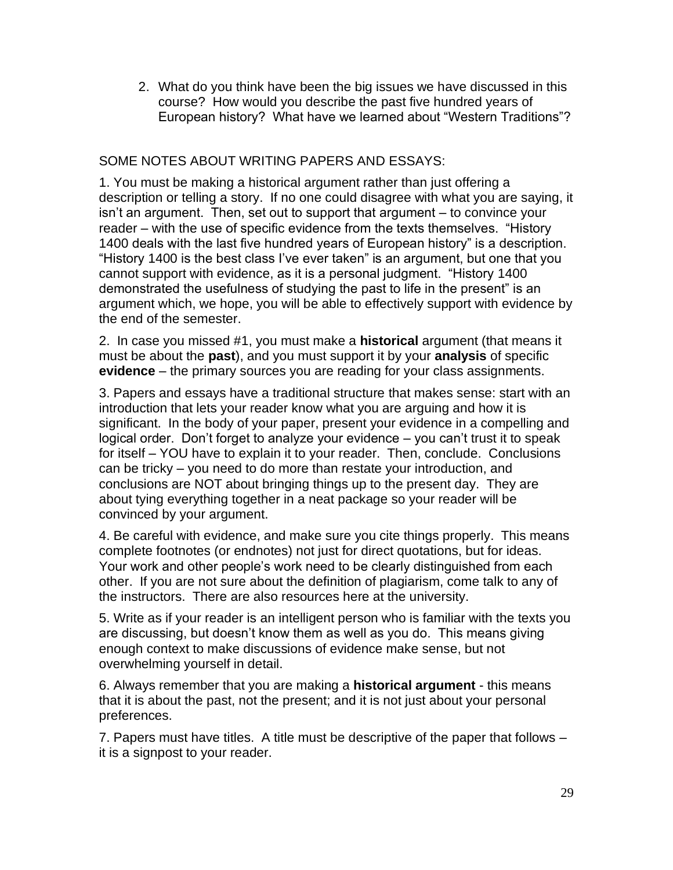2. What do you think have been the big issues we have discussed in this course? How would you describe the past five hundred years of European history? What have we learned about "Western Traditions"?

## SOME NOTES ABOUT WRITING PAPERS AND ESSAYS:

1. You must be making a historical argument rather than just offering a description or telling a story. If no one could disagree with what you are saying, it isn't an argument. Then, set out to support that argument – to convince your reader – with the use of specific evidence from the texts themselves. "History 1400 deals with the last five hundred years of European history" is a description. "History 1400 is the best class I've ever taken" is an argument, but one that you cannot support with evidence, as it is a personal judgment. "History 1400 demonstrated the usefulness of studying the past to life in the present" is an argument which, we hope, you will be able to effectively support with evidence by the end of the semester.

2. In case you missed #1, you must make a **historical** argument (that means it must be about the **past**), and you must support it by your **analysis** of specific **evidence** – the primary sources you are reading for your class assignments.

3. Papers and essays have a traditional structure that makes sense: start with an introduction that lets your reader know what you are arguing and how it is significant. In the body of your paper, present your evidence in a compelling and logical order. Don't forget to analyze your evidence – you can't trust it to speak for itself – YOU have to explain it to your reader. Then, conclude. Conclusions can be tricky – you need to do more than restate your introduction, and conclusions are NOT about bringing things up to the present day. They are about tying everything together in a neat package so your reader will be convinced by your argument.

4. Be careful with evidence, and make sure you cite things properly. This means complete footnotes (or endnotes) not just for direct quotations, but for ideas. Your work and other people's work need to be clearly distinguished from each other. If you are not sure about the definition of plagiarism, come talk to any of the instructors. There are also resources here at the university.

5. Write as if your reader is an intelligent person who is familiar with the texts you are discussing, but doesn't know them as well as you do. This means giving enough context to make discussions of evidence make sense, but not overwhelming yourself in detail.

6. Always remember that you are making a **historical argument** - this means that it is about the past, not the present; and it is not just about your personal preferences.

7. Papers must have titles. A title must be descriptive of the paper that follows – it is a signpost to your reader.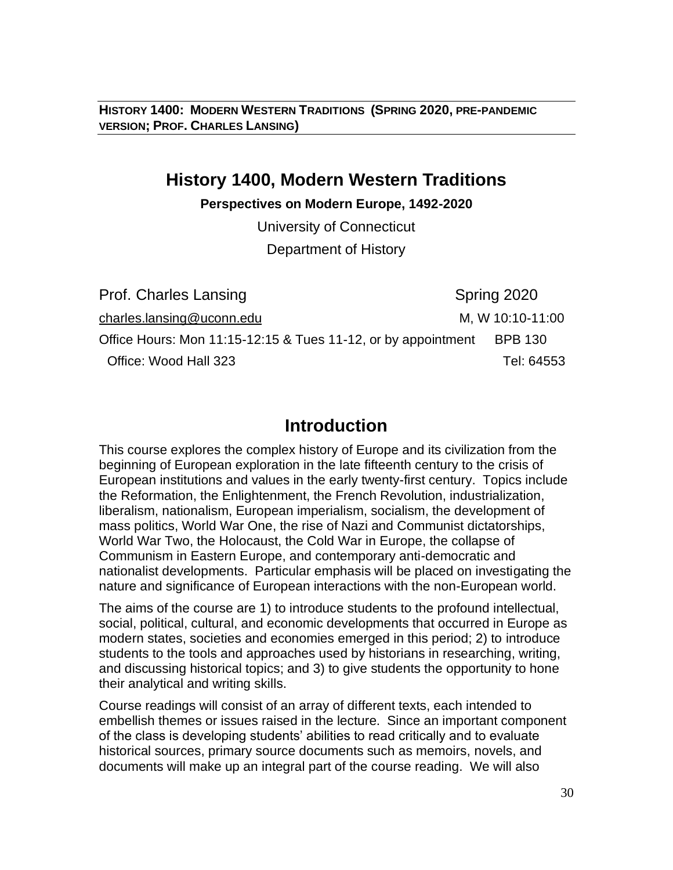**HISTORY 1400: MODERN WESTERN TRADITIONS (SPRING 2020, PRE-PANDEMIC VERSION; PROF. CHARLES LANSING)**

# **History 1400, Modern Western Traditions**

### **Perspectives on Modern Europe, 1492-2020**

University of Connecticut

Department of History

Prof. Charles Lansing Spring 2020 [charles.lansing@uconn.edu](mailto:charles.lansing@uconn.edu)M, W 10:10-11:00 Office Hours: Mon  $11:15-12:15.8$  Tues 11-12, or by appointment BPB 130 Office: Wood Hall 323 Tel: 64553

# **Introduction**

This course explores the complex history of Europe and its civilization from the beginning of European exploration in the late fifteenth century to the crisis of European institutions and values in the early twenty-first century. Topics include the Reformation, the Enlightenment, the French Revolution, industrialization, liberalism, nationalism, European imperialism, socialism, the development of mass politics, World War One, the rise of Nazi and Communist dictatorships, World War Two, the Holocaust, the Cold War in Europe, the collapse of Communism in Eastern Europe, and contemporary anti-democratic and nationalist developments. Particular emphasis will be placed on investigating the nature and significance of European interactions with the non-European world.

The aims of the course are 1) to introduce students to the profound intellectual, social, political, cultural, and economic developments that occurred in Europe as modern states, societies and economies emerged in this period; 2) to introduce students to the tools and approaches used by historians in researching, writing, and discussing historical topics; and 3) to give students the opportunity to hone their analytical and writing skills.

Course readings will consist of an array of different texts, each intended to embellish themes or issues raised in the lecture. Since an important component of the class is developing students' abilities to read critically and to evaluate historical sources, primary source documents such as memoirs, novels, and documents will make up an integral part of the course reading. We will also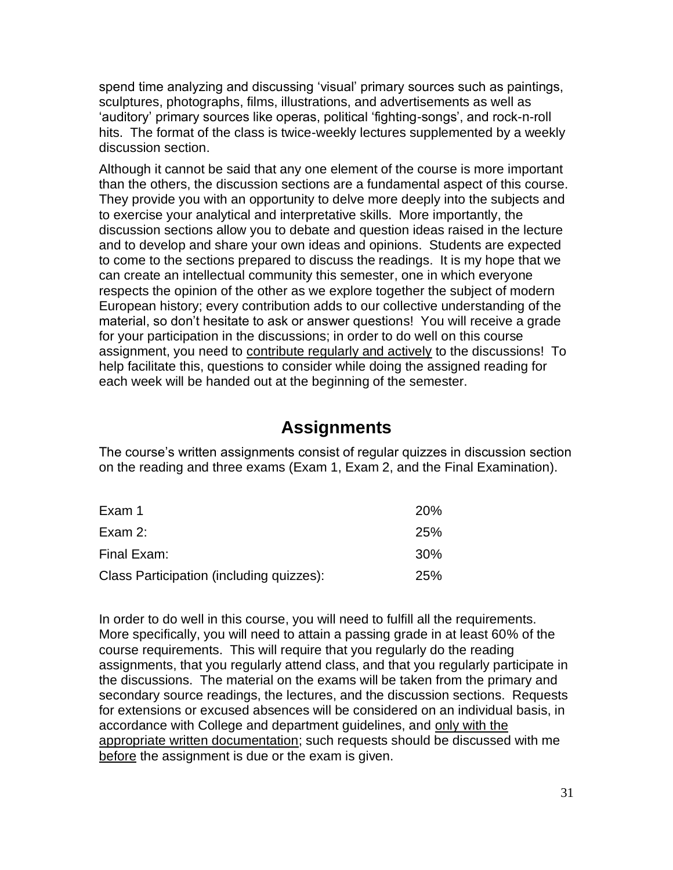spend time analyzing and discussing 'visual' primary sources such as paintings, sculptures, photographs, films, illustrations, and advertisements as well as 'auditory' primary sources like operas, political 'fighting-songs', and rock-n-roll hits. The format of the class is twice-weekly lectures supplemented by a weekly discussion section.

Although it cannot be said that any one element of the course is more important than the others, the discussion sections are a fundamental aspect of this course. They provide you with an opportunity to delve more deeply into the subjects and to exercise your analytical and interpretative skills. More importantly, the discussion sections allow you to debate and question ideas raised in the lecture and to develop and share your own ideas and opinions. Students are expected to come to the sections prepared to discuss the readings. It is my hope that we can create an intellectual community this semester, one in which everyone respects the opinion of the other as we explore together the subject of modern European history; every contribution adds to our collective understanding of the material, so don't hesitate to ask or answer questions! You will receive a grade for your participation in the discussions; in order to do well on this course assignment, you need to contribute regularly and actively to the discussions! To help facilitate this, questions to consider while doing the assigned reading for each week will be handed out at the beginning of the semester.

# **Assignments**

The course's written assignments consist of regular quizzes in discussion section on the reading and three exams (Exam 1, Exam 2, and the Final Examination).

| Exam 1                                   | <b>20%</b> |
|------------------------------------------|------------|
| Exam $2$ :                               | <b>25%</b> |
| Final Exam:                              | <b>30%</b> |
| Class Participation (including quizzes): | <b>25%</b> |

In order to do well in this course, you will need to fulfill all the requirements. More specifically, you will need to attain a passing grade in at least 60% of the course requirements. This will require that you regularly do the reading assignments, that you regularly attend class, and that you regularly participate in the discussions. The material on the exams will be taken from the primary and secondary source readings, the lectures, and the discussion sections. Requests for extensions or excused absences will be considered on an individual basis, in accordance with College and department guidelines, and only with the appropriate written documentation; such requests should be discussed with me before the assignment is due or the exam is given.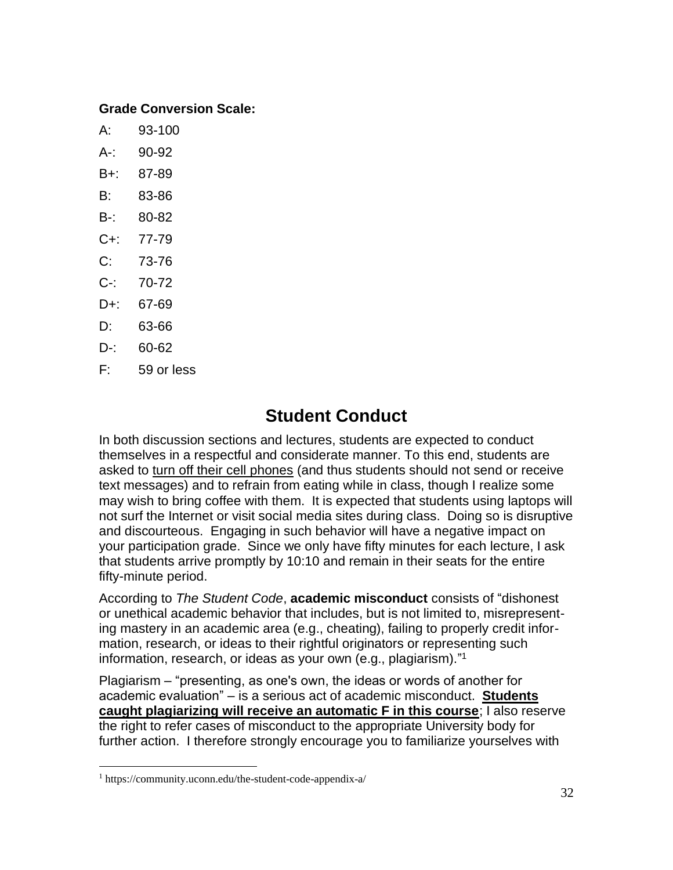## **Grade Conversion Scale:**

- A: 93-100
- A-: 90-92
- B+: 87-89
- B: 83-86
- B-: 80-82
- C+: 77-79
- C: 73-76
- C-: 70-72
- D+: 67-69
- D: 63-66
- $D-$ : 60-62
- F: 59 or less

# **Student Conduct**

In both discussion sections and lectures, students are expected to conduct themselves in a respectful and considerate manner. To this end, students are asked to turn off their cell phones (and thus students should not send or receive text messages) and to refrain from eating while in class, though I realize some may wish to bring coffee with them. It is expected that students using laptops will not surf the Internet or visit social media sites during class. Doing so is disruptive and discourteous. Engaging in such behavior will have a negative impact on your participation grade. Since we only have fifty minutes for each lecture, I ask that students arrive promptly by 10:10 and remain in their seats for the entire fifty-minute period.

According to *The Student Code*, **academic misconduct** consists of "dishonest or unethical academic behavior that includes, but is not limited to, misrepresenting mastery in an academic area (e.g., cheating), failing to properly credit information, research, or ideas to their rightful originators or representing such information, research, or ideas as your own (e.g., plagiarism)." 1

Plagiarism – "presenting, as one's own, the ideas or words of another for academic evaluation" – is a serious act of academic misconduct. **Students caught plagiarizing will receive an automatic F in this course**; I also reserve the right to refer cases of misconduct to the appropriate University body for further action. I therefore strongly encourage you to familiarize yourselves with

<sup>1</sup> https://community.uconn.edu/the-student-code-appendix-a/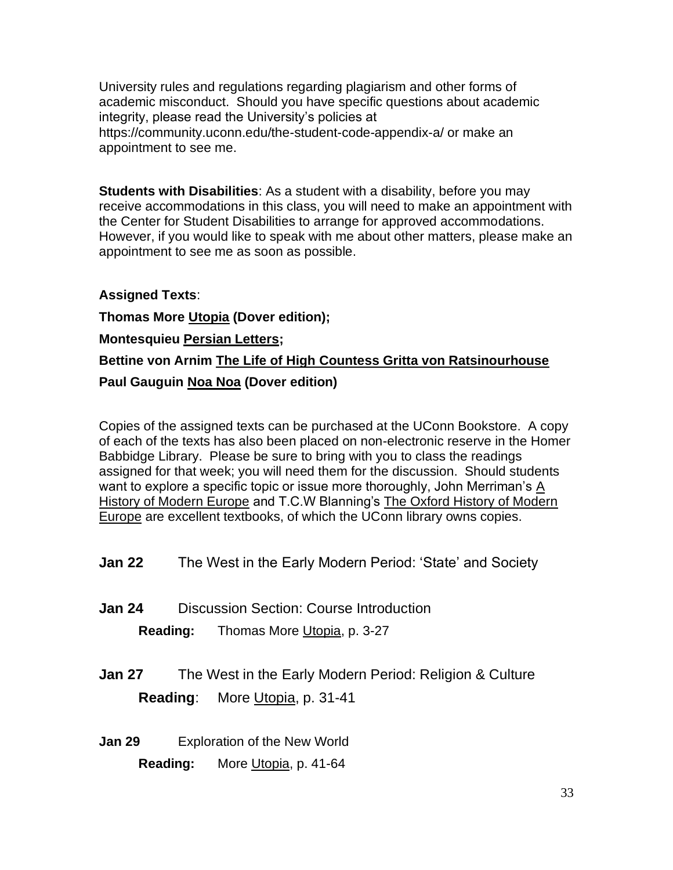University rules and regulations regarding plagiarism and other forms of academic misconduct. Should you have specific questions about academic integrity, please read the University's policies at https://community.uconn.edu/the-student-code-appendix-a/ or make an appointment to see me.

**Students with Disabilities**: As a student with a disability, before you may receive accommodations in this class, you will need to make an appointment with the Center for Student Disabilities to arrange for approved accommodations. However, if you would like to speak with me about other matters, please make an appointment to see me as soon as possible.

## **Assigned Texts**:

**Thomas More Utopia (Dover edition); Montesquieu Persian Letters; Bettine von Arnim The Life of High Countess Gritta von Ratsinourhouse Paul Gauguin Noa Noa (Dover edition)**

Copies of the assigned texts can be purchased at the UConn Bookstore. A copy of each of the texts has also been placed on non-electronic reserve in the Homer Babbidge Library. Please be sure to bring with you to class the readings assigned for that week; you will need them for the discussion. Should students want to explore a specific topic or issue more thoroughly, John Merriman's A History of Modern Europe and T.C.W Blanning's The Oxford History of Modern Europe are excellent textbooks, of which the UConn library owns copies.

- **Jan 22** The West in the Early Modern Period: 'State' and Society
- **Jan 24** Discussion Section: Course Introduction **Reading:** Thomas More Utopia, p. 3-27
- **Jan 27** The West in the Early Modern Period: Religion & Culture **Reading**: More Utopia, p. 31-41
- **Jan 29** Exploration of the New World **Reading:** More Utopia, p. 41-64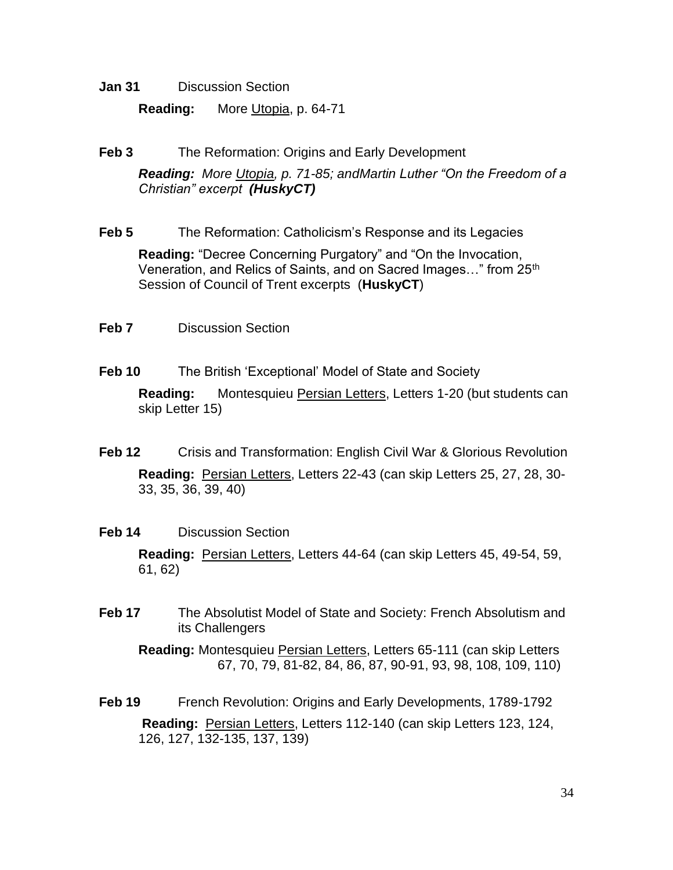**Jan 31** Discussion Section

**Reading:** More Utopia, p. 64-71

**Feb 3** The Reformation: Origins and Early Development

*Reading: More Utopia, p. 71-85; andMartin Luther "On the Freedom of a Christian" excerpt (HuskyCT)*

**Feb 5** The Reformation: Catholicism's Response and its Legacies

**Reading:** "Decree Concerning Purgatory" and "On the Invocation, Veneration, and Relics of Saints, and on Sacred Images..." from 25<sup>th</sup> Session of Council of Trent excerpts (**HuskyCT**)

- **Feb 7** Discussion Section
- **Feb 10** The British 'Exceptional' Model of State and Society

**Reading:** Montesquieu Persian Letters, Letters 1-20 (but students can skip Letter 15)

- **Feb 12** Crisis and Transformation: English Civil War & Glorious Revolution **Reading:** Persian Letters, Letters 22-43 (can skip Letters 25, 27, 28, 30- 33, 35, 36, 39, 40)
- **Feb 14** Discussion Section

**Reading:** Persian Letters, Letters 44-64 (can skip Letters 45, 49-54, 59, 61, 62)

**Feb 17** The Absolutist Model of State and Society: French Absolutism and its Challengers

**Reading:** Montesquieu Persian Letters, Letters 65-111 (can skip Letters 67, 70, 79, 81-82, 84, 86, 87, 90-91, 93, 98, 108, 109, 110)

**Feb 19** French Revolution: Origins and Early Developments, 1789-1792 **Reading:** Persian Letters, Letters 112-140 (can skip Letters 123, 124, 126, 127, 132-135, 137, 139)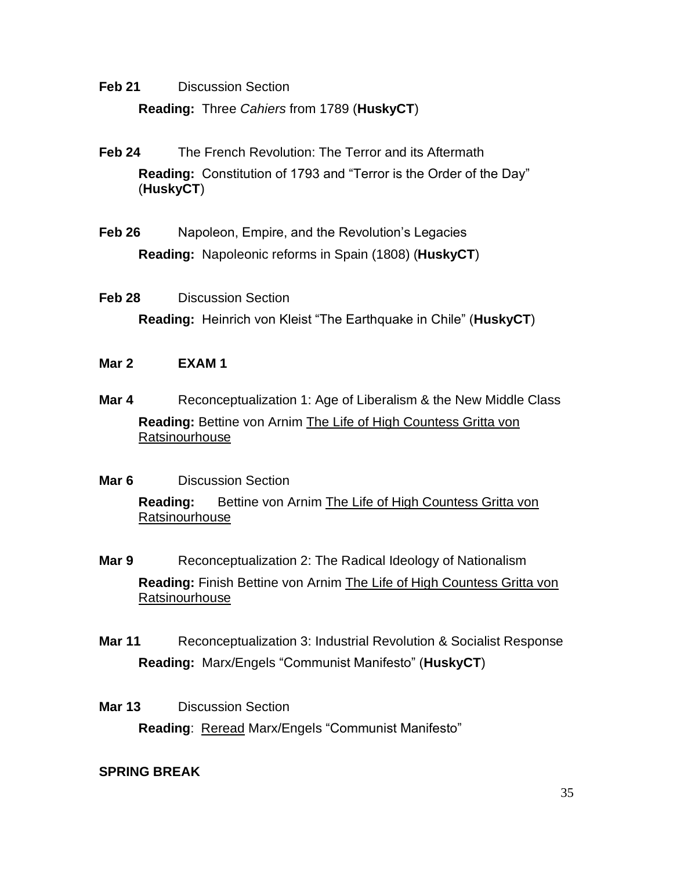**Feb 21** Discussion Section **Reading:** Three *Cahiers* from 1789 (**HuskyCT**)

- **Feb 24** The French Revolution: The Terror and its Aftermath **Reading:** Constitution of 1793 and "Terror is the Order of the Day" (**HuskyCT**)
- **Feb 26** Napoleon, Empire, and the Revolution's Legacies **Reading:** Napoleonic reforms in Spain (1808) (**HuskyCT**)
- **Feb 28** Discussion Section **Reading:** Heinrich von Kleist "The Earthquake in Chile" (**HuskyCT**)
- **Mar 2 EXAM 1**
- **Mar 4** Reconceptualization 1: Age of Liberalism & the New Middle Class **Reading:** Bettine von Arnim The Life of High Countess Gritta von **Ratsinourhouse**
- **Mar 6** Discussion Section **Reading:** Bettine von Arnim The Life of High Countess Gritta von Ratsinourhouse
- **Mar 9** Reconceptualization 2: The Radical Ideology of Nationalism **Reading:** Finish Bettine von Arnim The Life of High Countess Gritta von Ratsinourhouse
- **Mar 11** Reconceptualization 3: Industrial Revolution & Socialist Response **Reading:** Marx/Engels "Communist Manifesto" (**HuskyCT**)
- **Mar 13** Discussion Section **Reading: Reread Marx/Engels "Communist Manifesto"**

## **SPRING BREAK**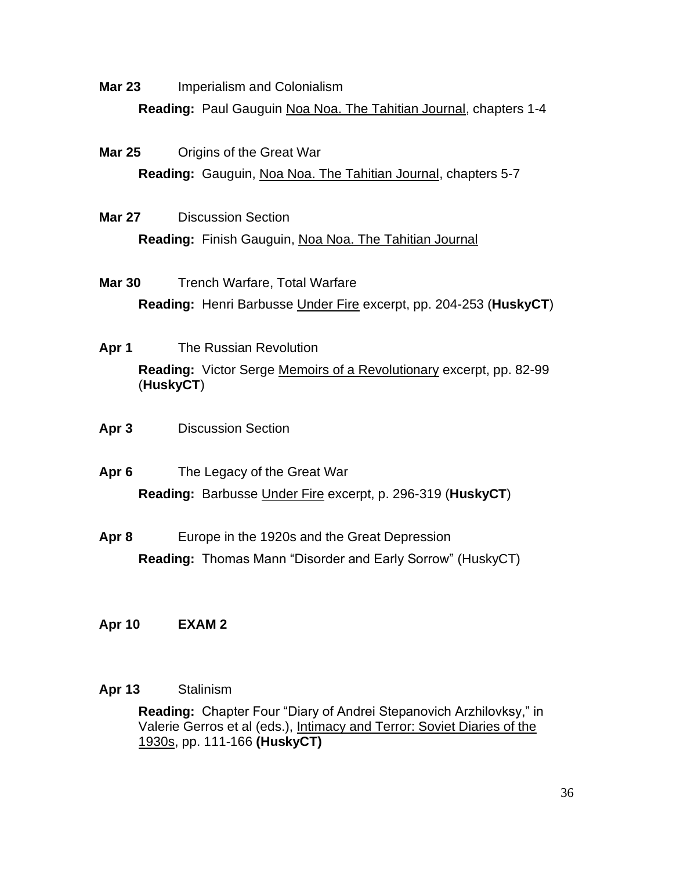**Mar 23** Imperialism and Colonialism

**Reading:** Paul Gauguin Noa Noa. The Tahitian Journal, chapters 1-4

**Mar 25** Origins of the Great War

**Reading:** Gauguin, Noa Noa. The Tahitian Journal, chapters 5-7

**Mar 27** Discussion Section

**Reading:** Finish Gauguin, Noa Noa. The Tahitian Journal

- **Mar 30** Trench Warfare, Total Warfare **Reading:** Henri Barbusse Under Fire excerpt, pp. 204-253 (**HuskyCT**)
- **Apr 1** The Russian Revolution **Reading:** Victor Serge Memoirs of a Revolutionary excerpt, pp. 82-99 (**HuskyCT**)
- **Apr 3** Discussion Section
- **Apr 6** The Legacy of the Great War **Reading:** Barbusse Under Fire excerpt, p. 296-319 (**HuskyCT**)
- **Apr 8** Europe in the 1920s and the Great Depression **Reading:** Thomas Mann "Disorder and Early Sorrow" (HuskyCT)
- **Apr 10 EXAM 2**

## **Apr 13** Stalinism

**Reading:** Chapter Four "Diary of Andrei Stepanovich Arzhilovksy," in Valerie Gerros et al (eds.), Intimacy and Terror: Soviet Diaries of the 1930s, pp. 111-166 **(HuskyCT)**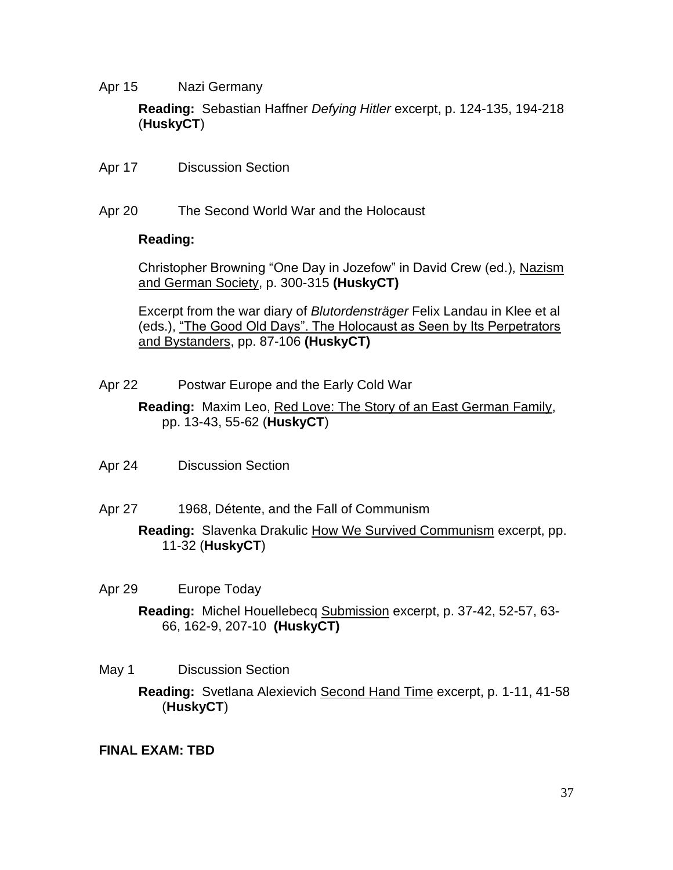Apr 15 Nazi Germany

**Reading:** Sebastian Haffner *Defying Hitler* excerpt, p. 124-135, 194-218 (**HuskyCT**)

- Apr 17 Discussion Section
- Apr 20 The Second World War and the Holocaust

### **Reading:**

Christopher Browning "One Day in Jozefow" in David Crew (ed.), Nazism and German Society, p. 300-315 **(HuskyCT)**

Excerpt from the war diary of *Blutordensträger* Felix Landau in Klee et al (eds.), "The Good Old Days". The Holocaust as Seen by Its Perpetrators and Bystanders, pp. 87-106 **(HuskyCT)**

Apr 22 Postwar Europe and the Early Cold War

**Reading:** Maxim Leo, Red Love: The Story of an East German Family, pp. 13-43, 55-62 (**HuskyCT**)

- Apr 24 Discussion Section
- Apr 27 1968, Détente, and the Fall of Communism

**Reading:** Slavenka Drakulic How We Survived Communism excerpt, pp. 11-32 (**HuskyCT**)

Apr 29 Europe Today

**Reading:** Michel Houellebecq Submission excerpt, p. 37-42, 52-57, 63- 66, 162-9, 207-10 **(HuskyCT)**

- May 1 Discussion Section
	- **Reading:** Svetlana Alexievich Second Hand Time excerpt, p. 1-11, 41-58 (**HuskyCT**)

## **FINAL EXAM: TBD**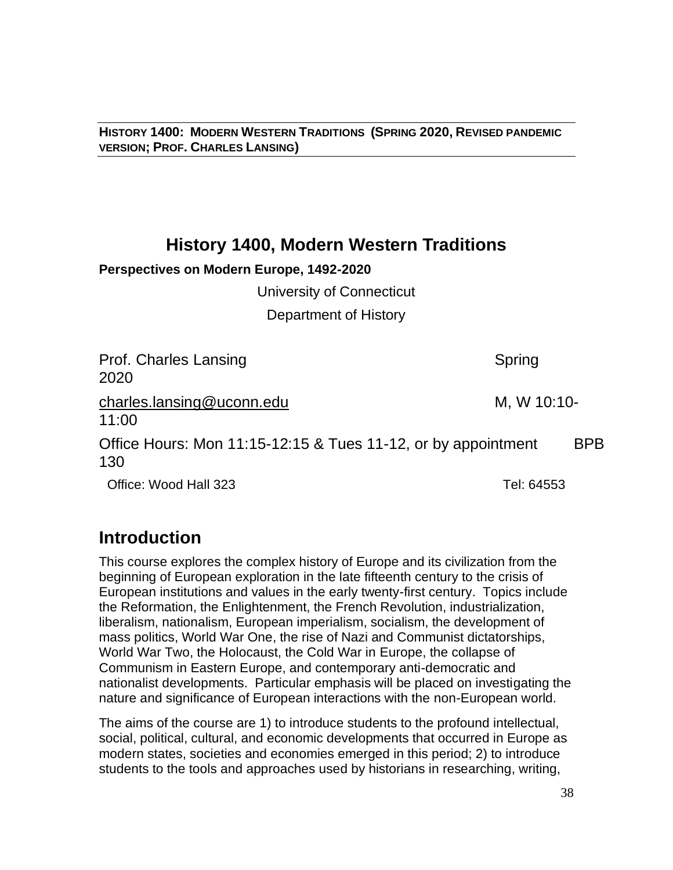**HISTORY 1400: MODERN WESTERN TRADITIONS (SPRING 2020, REVISED PANDEMIC VERSION; PROF. CHARLES LANSING)**

# **History 1400, Modern Western Traditions**

## **Perspectives on Modern Europe, 1492-2020**

University of Connecticut

Department of History

| Prof. Charles Lansing<br>2020                                        | Spring      |            |
|----------------------------------------------------------------------|-------------|------------|
| charles.lansing@uconn.edu<br>11:00                                   | M, W 10:10- |            |
| Office Hours: Mon 11:15-12:15 & Tues 11-12, or by appointment<br>130 |             | <b>BPB</b> |
| Office: Wood Hall 323                                                | Tel: 64553  |            |

# **Introduction**

This course explores the complex history of Europe and its civilization from the beginning of European exploration in the late fifteenth century to the crisis of European institutions and values in the early twenty-first century. Topics include the Reformation, the Enlightenment, the French Revolution, industrialization, liberalism, nationalism, European imperialism, socialism, the development of mass politics, World War One, the rise of Nazi and Communist dictatorships, World War Two, the Holocaust, the Cold War in Europe, the collapse of Communism in Eastern Europe, and contemporary anti-democratic and nationalist developments. Particular emphasis will be placed on investigating the nature and significance of European interactions with the non-European world.

The aims of the course are 1) to introduce students to the profound intellectual, social, political, cultural, and economic developments that occurred in Europe as modern states, societies and economies emerged in this period; 2) to introduce students to the tools and approaches used by historians in researching, writing,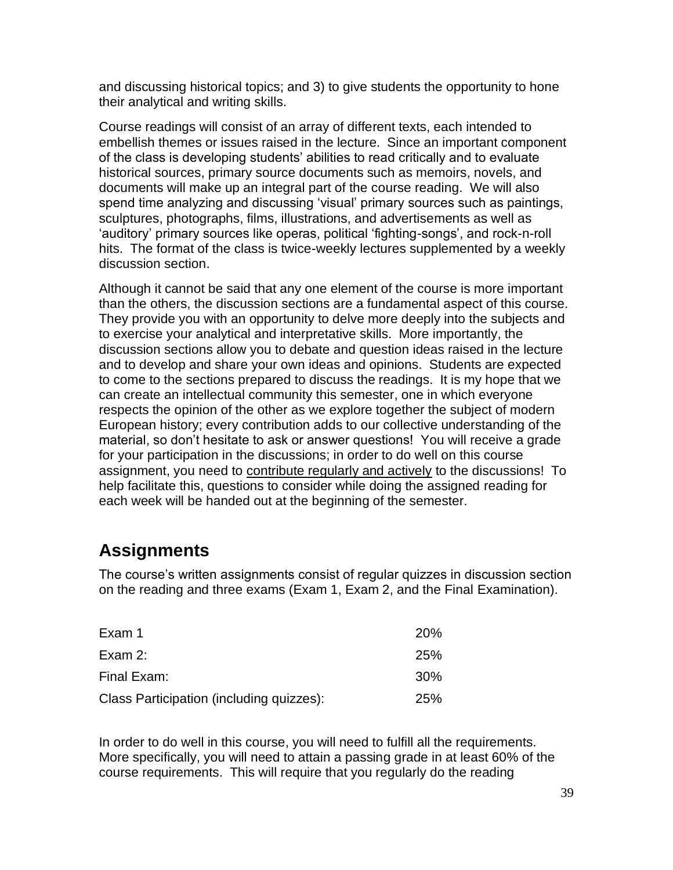and discussing historical topics; and 3) to give students the opportunity to hone their analytical and writing skills.

Course readings will consist of an array of different texts, each intended to embellish themes or issues raised in the lecture. Since an important component of the class is developing students' abilities to read critically and to evaluate historical sources, primary source documents such as memoirs, novels, and documents will make up an integral part of the course reading. We will also spend time analyzing and discussing 'visual' primary sources such as paintings, sculptures, photographs, films, illustrations, and advertisements as well as 'auditory' primary sources like operas, political 'fighting-songs', and rock-n-roll hits. The format of the class is twice-weekly lectures supplemented by a weekly discussion section.

Although it cannot be said that any one element of the course is more important than the others, the discussion sections are a fundamental aspect of this course. They provide you with an opportunity to delve more deeply into the subjects and to exercise your analytical and interpretative skills. More importantly, the discussion sections allow you to debate and question ideas raised in the lecture and to develop and share your own ideas and opinions. Students are expected to come to the sections prepared to discuss the readings. It is my hope that we can create an intellectual community this semester, one in which everyone respects the opinion of the other as we explore together the subject of modern European history; every contribution adds to our collective understanding of the material, so don't hesitate to ask or answer questions! You will receive a grade for your participation in the discussions; in order to do well on this course assignment, you need to contribute regularly and actively to the discussions! To help facilitate this, questions to consider while doing the assigned reading for each week will be handed out at the beginning of the semester.

# **Assignments**

The course's written assignments consist of regular quizzes in discussion section on the reading and three exams (Exam 1, Exam 2, and the Final Examination).

| Exam 1                                   | <b>20%</b>      |
|------------------------------------------|-----------------|
| Exam $2$ :                               | <b>25%</b>      |
| Final Exam:                              | 30 <sup>%</sup> |
| Class Participation (including quizzes): | <b>25%</b>      |

In order to do well in this course, you will need to fulfill all the requirements. More specifically, you will need to attain a passing grade in at least 60% of the course requirements. This will require that you regularly do the reading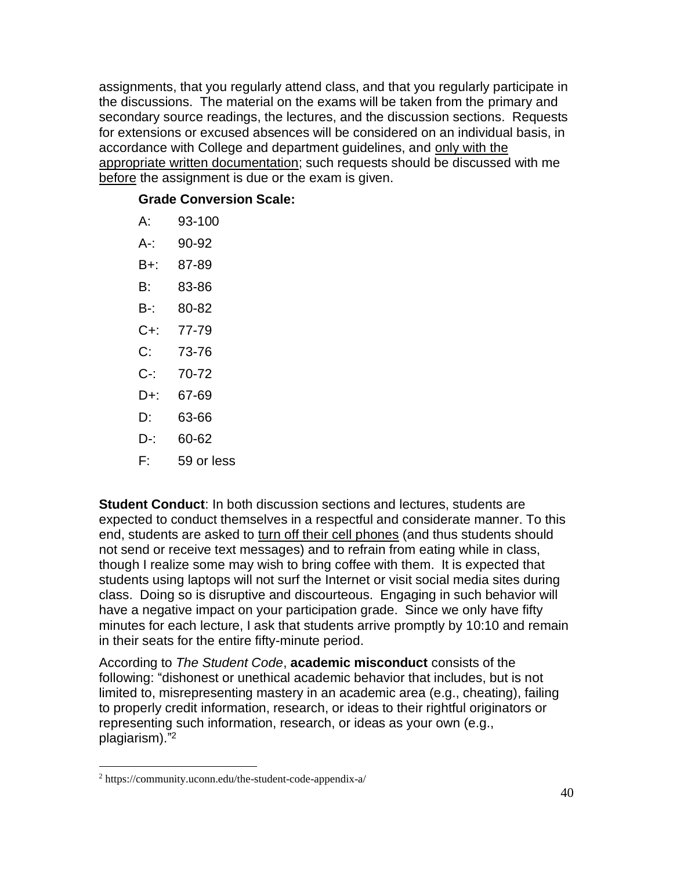assignments, that you regularly attend class, and that you regularly participate in the discussions. The material on the exams will be taken from the primary and secondary source readings, the lectures, and the discussion sections. Requests for extensions or excused absences will be considered on an individual basis, in accordance with College and department guidelines, and only with the appropriate written documentation; such requests should be discussed with me before the assignment is due or the exam is given.

## **Grade Conversion Scale:**

| А:      | 93-100     |
|---------|------------|
| A-:     | 90-92      |
| B+:     | 87-89      |
| B:      | 83-86      |
| B-:     | 80-82      |
| $C +$ : | 77-79      |
| C:      | 73-76      |
| C-:     | 70-72      |
| D+:     | 67-69      |
| D:      | 63-66      |
| D-:     | 60-62      |
| F:      | 59 or less |

**Student Conduct**: In both discussion sections and lectures, students are expected to conduct themselves in a respectful and considerate manner. To this end, students are asked to turn off their cell phones (and thus students should not send or receive text messages) and to refrain from eating while in class, though I realize some may wish to bring coffee with them. It is expected that students using laptops will not surf the Internet or visit social media sites during class. Doing so is disruptive and discourteous. Engaging in such behavior will have a negative impact on your participation grade. Since we only have fifty minutes for each lecture, I ask that students arrive promptly by 10:10 and remain in their seats for the entire fifty-minute period.

According to *The Student Code*, **academic misconduct** consists of the following: "dishonest or unethical academic behavior that includes, but is not limited to, misrepresenting mastery in an academic area (e.g., cheating), failing to properly credit information, research, or ideas to their rightful originators or representing such information, research, or ideas as your own (e.g., plagiarism)." 2

<sup>2</sup> https://community.uconn.edu/the-student-code-appendix-a/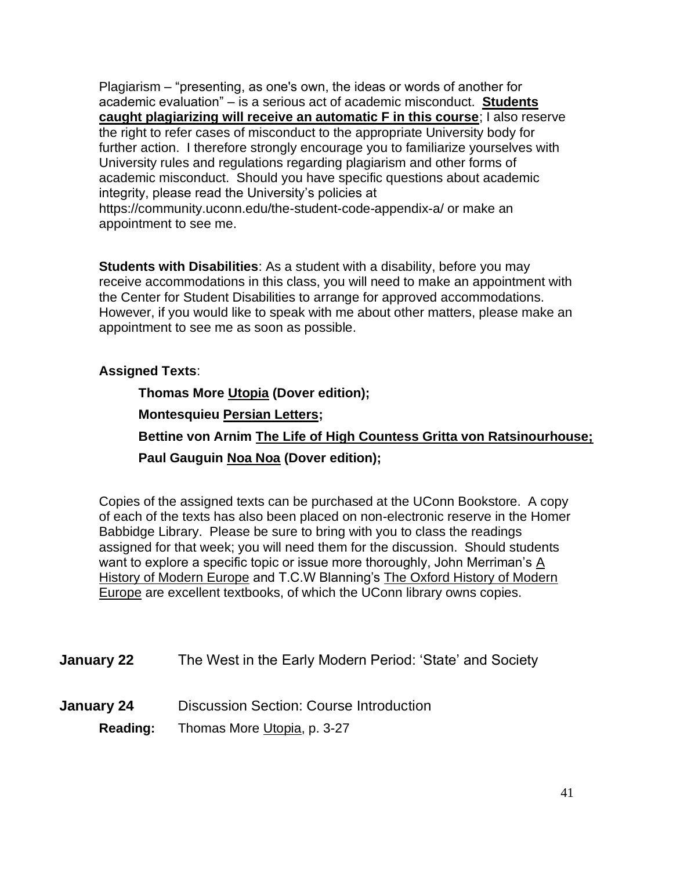Plagiarism – "presenting, as one's own, the ideas or words of another for academic evaluation" – is a serious act of academic misconduct. **Students caught plagiarizing will receive an automatic F in this course**; I also reserve the right to refer cases of misconduct to the appropriate University body for further action. I therefore strongly encourage you to familiarize yourselves with University rules and regulations regarding plagiarism and other forms of academic misconduct. Should you have specific questions about academic integrity, please read the University's policies at https://community.uconn.edu/the-student-code-appendix-a/ or make an appointment to see me.

**Students with Disabilities**: As a student with a disability, before you may receive accommodations in this class, you will need to make an appointment with the Center for Student Disabilities to arrange for approved accommodations. However, if you would like to speak with me about other matters, please make an appointment to see me as soon as possible.

## **Assigned Texts**:

**Thomas More Utopia (Dover edition); Montesquieu Persian Letters; Bettine von Arnim The Life of High Countess Gritta von Ratsinourhouse; Paul Gauguin Noa Noa (Dover edition);** 

Copies of the assigned texts can be purchased at the UConn Bookstore. A copy of each of the texts has also been placed on non-electronic reserve in the Homer Babbidge Library. Please be sure to bring with you to class the readings assigned for that week; you will need them for the discussion. Should students want to explore a specific topic or issue more thoroughly, John Merriman's A History of Modern Europe and T.C.W Blanning's The Oxford History of Modern Europe are excellent textbooks, of which the UConn library owns copies.

| The West in the Early Modern Period: 'State' and Society<br><b>January 22</b> |  |  |
|-------------------------------------------------------------------------------|--|--|
|-------------------------------------------------------------------------------|--|--|

- **January 24** Discussion Section: Course Introduction
	- **Reading:** Thomas More Utopia, p. 3-27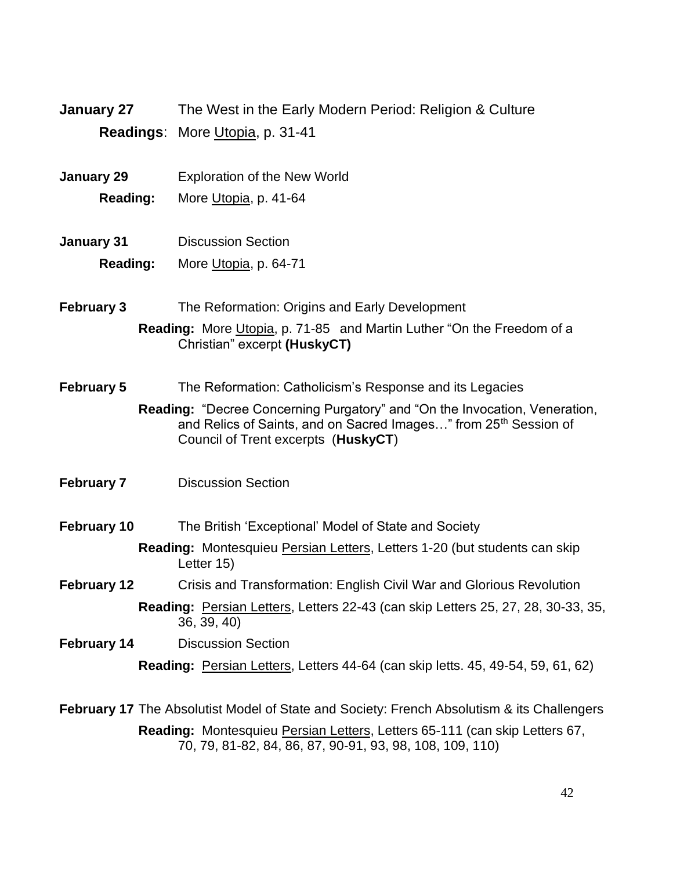| January 27 | The West in the Early Modern Period: Religion & Culture |
|------------|---------------------------------------------------------|
|            | <b>Readings: More Utopia, p. 31-41</b>                  |

- **January 29** Exploration of the New World
	- **Reading:** More Utopia, p. 41-64
- **January 31** Discussion Section **Reading:** More Utopia, p. 64-71
- **February 3** The Reformation: Origins and Early Development **Reading:** More Utopia, p. 71-85 and Martin Luther "On the Freedom of a Christian" excerpt **(HuskyCT)**
- **February 5** The Reformation: Catholicism's Response and its Legacies

**Reading:** "Decree Concerning Purgatory" and "On the Invocation, Veneration, and Relics of Saints, and on Sacred Images..." from 25<sup>th</sup> Session of Council of Trent excerpts (**HuskyCT**)

**February 7** Discussion Section

**February 10** The British 'Exceptional' Model of State and Society

- **Reading:** Montesquieu Persian Letters, Letters 1-20 (but students can skip Letter 15)
- **February 12** Crisis and Transformation: English Civil War and Glorious Revolution **Reading:** Persian Letters, Letters 22-43 (can skip Letters 25, 27, 28, 30-33, 35, 36, 39, 40)
- **February 14** Discussion Section

**Reading:** Persian Letters, Letters 44-64 (can skip letts. 45, 49-54, 59, 61, 62)

**February 17** The Absolutist Model of State and Society: French Absolutism & its Challengers **Reading:** Montesquieu Persian Letters, Letters 65-111 (can skip Letters 67, 70, 79, 81-82, 84, 86, 87, 90-91, 93, 98, 108, 109, 110)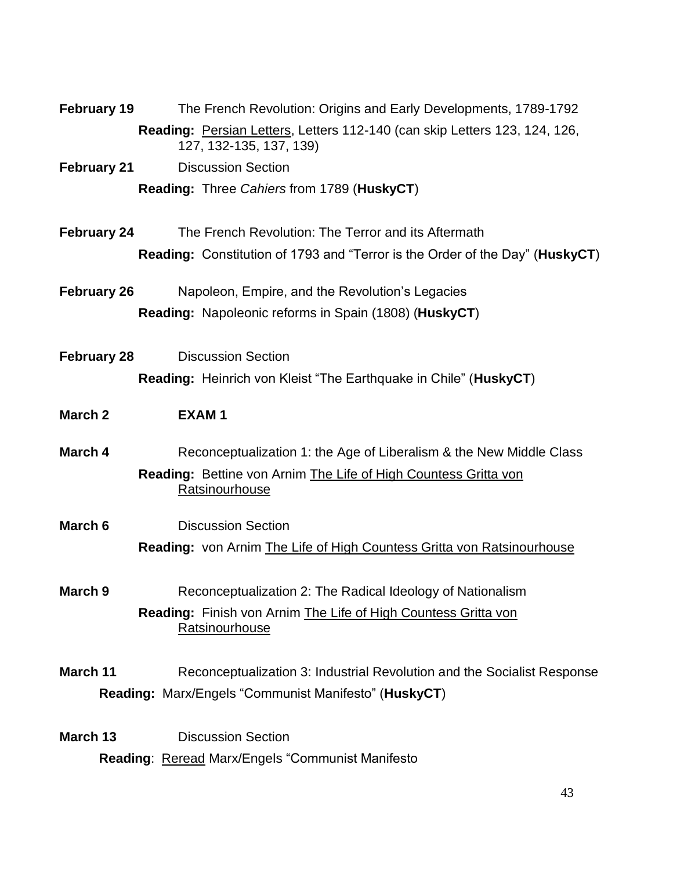| <b>February 19</b> | The French Revolution: Origins and Early Developments, 1789-1792                                      |
|--------------------|-------------------------------------------------------------------------------------------------------|
|                    | Reading: Persian Letters, Letters 112-140 (can skip Letters 123, 124, 126,<br>127, 132-135, 137, 139) |
| <b>February 21</b> | <b>Discussion Section</b>                                                                             |
|                    | Reading: Three Cahiers from 1789 (HuskyCT)                                                            |
| February 24        | The French Revolution: The Terror and its Aftermath                                                   |
|                    | <b>Reading:</b> Constitution of 1793 and "Terror is the Order of the Day" (HuskyCT)                   |
| <b>February 26</b> | Napoleon, Empire, and the Revolution's Legacies                                                       |
|                    | Reading: Napoleonic reforms in Spain (1808) (HuskyCT)                                                 |
| <b>February 28</b> | <b>Discussion Section</b>                                                                             |
|                    | Reading: Heinrich von Kleist "The Earthquake in Chile" (HuskyCT)                                      |
|                    |                                                                                                       |
| March 2            | <b>EXAM1</b>                                                                                          |
| March 4            | Reconceptualization 1: the Age of Liberalism & the New Middle Class                                   |
|                    | Reading: Bettine von Arnim The Life of High Countess Gritta von<br>Ratsinourhouse                     |
| March 6            | <b>Discussion Section</b>                                                                             |
|                    | <b>Reading: von Arnim The Life of High Countess Gritta von Ratsinourhouse</b>                         |
| March 9            | Reconceptualization 2: The Radical Ideology of Nationalism                                            |
|                    |                                                                                                       |
|                    |                                                                                                       |
|                    | <b>Reading:</b> Finish von Arnim The Life of High Countess Gritta von<br><b>Ratsinourhouse</b>        |
|                    |                                                                                                       |
| March 11           | Reconceptualization 3: Industrial Revolution and the Socialist Response                               |
|                    | Reading: Marx/Engels "Communist Manifesto" (HuskyCT)                                                  |
|                    |                                                                                                       |
| March 13           | <b>Discussion Section</b><br>Reading: Reread Marx/Engels "Communist Manifesto                         |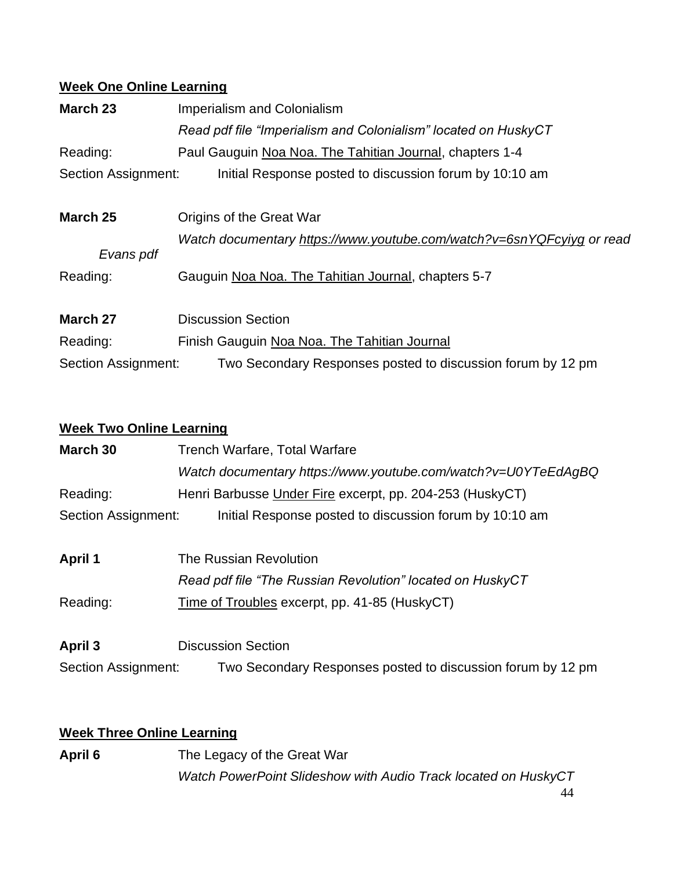# **Week One Online Learning**

| March 23                   | <b>Imperialism and Colonialism</b>                                    |
|----------------------------|-----------------------------------------------------------------------|
|                            | Read pdf file "Imperialism and Colonialism" located on HuskyCT        |
| Reading:                   | Paul Gauguin Noa Noa. The Tahitian Journal, chapters 1-4              |
| <b>Section Assignment:</b> | Initial Response posted to discussion forum by 10:10 am               |
| March 25                   | Origins of the Great War                                              |
|                            | Watch documentary https://www.youtube.com/watch?v=6snYQFcyiyg or read |
| Evans pdf                  |                                                                       |
| Reading:                   | Gauguin Noa Noa. The Tahitian Journal, chapters 5-7                   |
| March 27                   | <b>Discussion Section</b>                                             |
| Reading:                   | Finish Gauguin Noa Noa. The Tahitian Journal                          |
| Section Assignment:        | Two Secondary Responses posted to discussion forum by 12 pm           |

## **Week Two Online Learning**

| March 30            | <b>Trench Warfare, Total Warfare</b>                          |  |  |
|---------------------|---------------------------------------------------------------|--|--|
|                     | Watch documentary https://www.youtube.com/watch?v=U0YTeEdAgBQ |  |  |
| Reading:            | Henri Barbusse Under Fire excerpt, pp. 204-253 (HuskyCT)      |  |  |
| Section Assignment: | Initial Response posted to discussion forum by 10:10 am       |  |  |
| <b>April 1</b>      | The Russian Revolution                                        |  |  |
|                     |                                                               |  |  |
|                     | Read pdf file "The Russian Revolution" located on HuskyCT     |  |  |
| Reading:            | Time of Troubles excerpt, pp. 41-85 (HuskyCT)                 |  |  |
| April 3             | <b>Discussion Section</b>                                     |  |  |
|                     |                                                               |  |  |
| Section Assignment: | Two Secondary Responses posted to discussion forum by 12 pm   |  |  |

## **Week Three Online Learning**

April 6 The Legacy of the Great War *Watch PowerPoint Slideshow with Audio Track located on HuskyCT*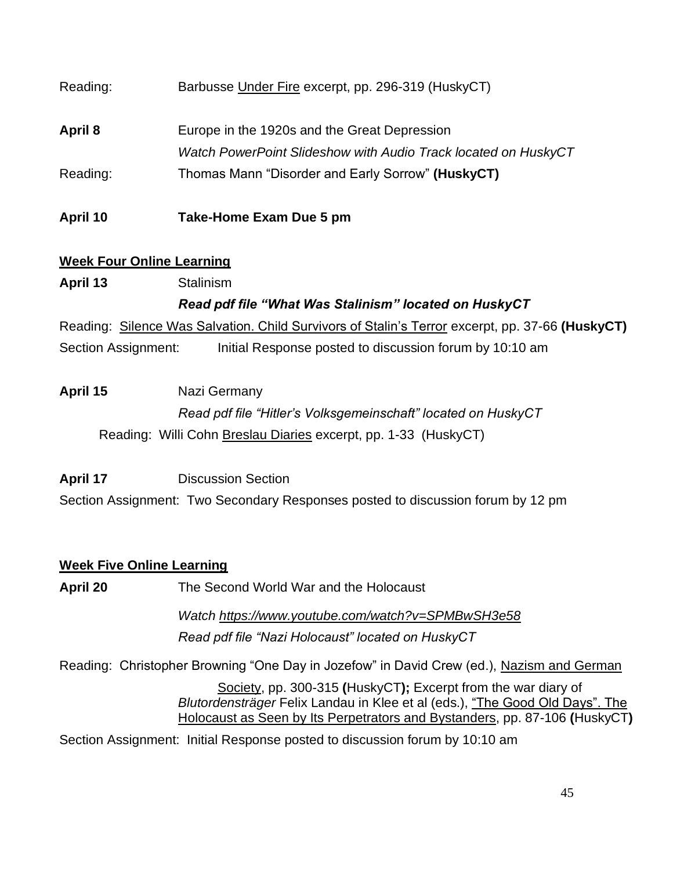| Reading: | Barbusse Under Fire excerpt, pp. 296-319 (HuskyCT)             |
|----------|----------------------------------------------------------------|
| April 8  | Europe in the 1920s and the Great Depression                   |
|          | Watch PowerPoint Slideshow with Audio Track located on HuskyCT |
| Reading: | Thomas Mann "Disorder and Early Sorrow" (HuskyCT)              |
| April 10 | Take-Home Exam Due 5 pm                                        |

## **Week Four Online Learning**

**April 13** Stalinism

# *Read pdf file "What Was Stalinism" located on HuskyCT*

Reading: Silence Was Salvation. Child Survivors of Stalin's Terror excerpt, pp. 37-66 **(HuskyCT)** Section Assignment: Initial Response posted to discussion forum by 10:10 am

# **April 15** Nazi Germany *Read pdf file "Hitler's Volksgemeinschaft" located on HuskyCT* Reading:Willi Cohn Breslau Diaries excerpt, pp. 1-33 (HuskyCT)

**April 17** Discussion Section Section Assignment:Two Secondary Responses posted to discussion forum by 12 pm

# **Week Five Online Learning**

**April 20** The Second World War and the Holocaust

*Watch<https://www.youtube.com/watch?v=SPMBwSH3e58> Read pdf file "Nazi Holocaust" located on HuskyCT*

Reading:Christopher Browning "One Day in Jozefow" in David Crew (ed.), Nazism and German

Society, pp. 300-315 **(**HuskyCT**);** Excerpt from the war diary of *Blutordensträger* Felix Landau in Klee et al (eds.), "The Good Old Days". The Holocaust as Seen by Its Perpetrators and Bystanders, pp. 87-106 **(**HuskyCT**)**

Section Assignment: Initial Response posted to discussion forum by 10:10 am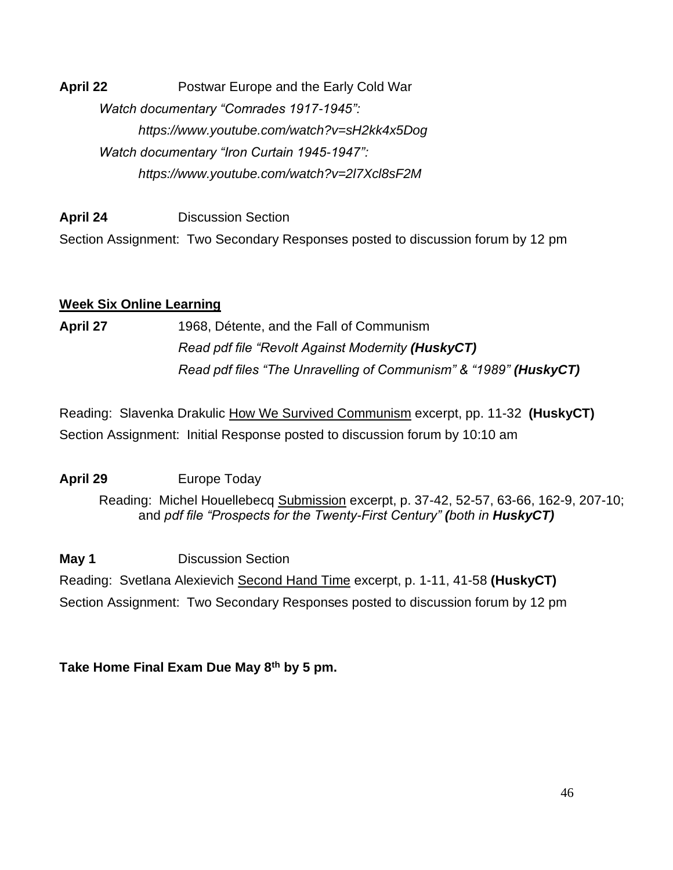**April 22** Postwar Europe and the Early Cold War *Watch documentary "Comrades 1917-1945": https://www.youtube.com/watch?v=sH2kk4x5Dog Watch documentary "Iron Curtain 1945-1947": https://www.youtube.com/watch?v=2l7Xcl8sF2M*

**April 24** Discussion Section Section Assignment:Two Secondary Responses posted to discussion forum by 12 pm

## **Week Six Online Learning**

**April 27** 1968, Détente, and the Fall of Communism *Read pdf file "Revolt Against Modernity (HuskyCT) Read pdf files "The Unravelling of Communism" & "1989" (HuskyCT)*

Reading:Slavenka Drakulic How We Survived Communism excerpt, pp. 11-32 **(HuskyCT)** Section Assignment: Initial Response posted to discussion forum by 10:10 am

**April 29** Europe Today

Reading: Michel Houellebecq Submission excerpt, p. 37-42, 52-57, 63-66, 162-9, 207-10; and *pdf file "Prospects for the Twenty-First Century" (both in HuskyCT)*

**May 1** Discussion Section

Reading: Svetlana Alexievich Second Hand Time excerpt, p. 1-11, 41-58 **(HuskyCT)** Section Assignment:Two Secondary Responses posted to discussion forum by 12 pm

**Take Home Final Exam Due May 8th by 5 pm.**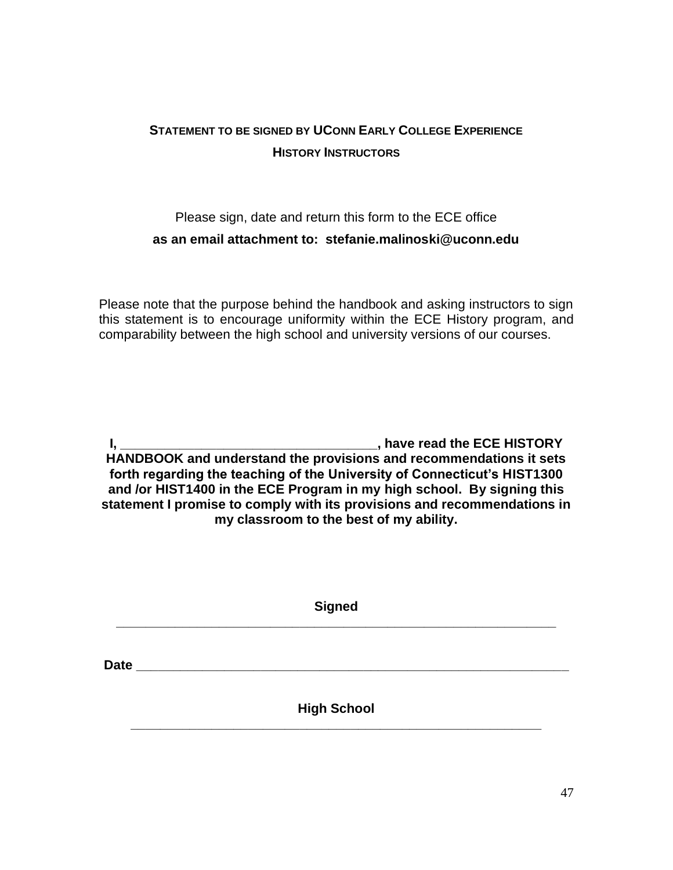# **STATEMENT TO BE SIGNED BY UCONN EARLY COLLEGE EXPERIENCE HISTORY INSTRUCTORS**

# Please sign, date and return this form to the ECE office **as an email attachment to: stefanie.malinoski@uconn.edu**

Please note that the purpose behind the handbook and asking instructors to sign this statement is to encourage uniformity within the ECE History program, and comparability between the high school and university versions of our courses.

**I, \_\_\_\_\_\_\_\_\_\_\_\_\_\_\_\_\_\_\_\_\_\_\_\_\_\_\_\_\_\_\_\_\_\_\_, have read the ECE HISTORY HANDBOOK and understand the provisions and recommendations it sets forth regarding the teaching of the University of Connecticut's HIST1300 and /or HIST1400 in the ECE Program in my high school. By signing this statement I promise to comply with its provisions and recommendations in my classroom to the best of my ability.**

| <b>Signed</b>      |  |
|--------------------|--|
|                    |  |
| <b>High School</b> |  |
|                    |  |